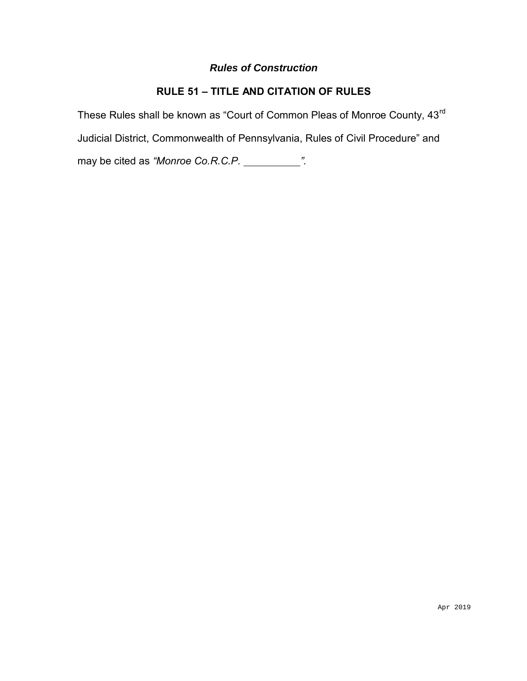### *Rules of Construction*

# **RULE 51 – TITLE AND CITATION OF RULES**

These Rules shall be known as "Court of Common Pleas of Monroe County, 43rd Judicial District, Commonwealth of Pennsylvania, Rules of Civil Procedure" and

may be cited as "Monroe Co.R.C.P.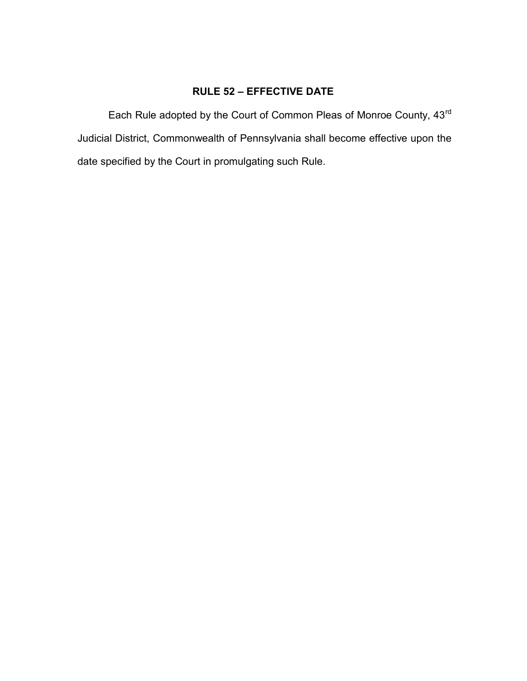# **RULE 52 – EFFECTIVE DATE**

Each Rule adopted by the Court of Common Pleas of Monroe County, 43rd Judicial District, Commonwealth of Pennsylvania shall become effective upon the date specified by the Court in promulgating such Rule.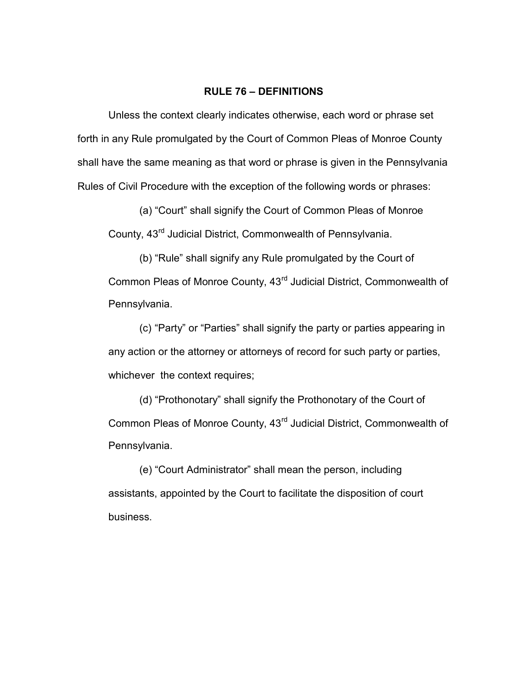#### **RULE 76 – DEFINITIONS**

Unless the context clearly indicates otherwise, each word or phrase set forth in any Rule promulgated by the Court of Common Pleas of Monroe County shall have the same meaning as that word or phrase is given in the Pennsylvania Rules of Civil Procedure with the exception of the following words or phrases:

(a) "Court" shall signify the Court of Common Pleas of Monroe County, 43rd Judicial District, Commonwealth of Pennsylvania.

(b) "Rule" shall signify any Rule promulgated by the Court of Common Pleas of Monroe County, 43rd Judicial District, Commonwealth of Pennsylvania.

(c) "Party" or "Parties" shall signify the party or parties appearing in any action or the attorney or attorneys of record for such party or parties, whichever the context requires;

(d) "Prothonotary" shall signify the Prothonotary of the Court of Common Pleas of Monroe County, 43rd Judicial District, Commonwealth of Pennsylvania.

(e) "Court Administrator" shall mean the person, including assistants, appointed by the Court to facilitate the disposition of court business.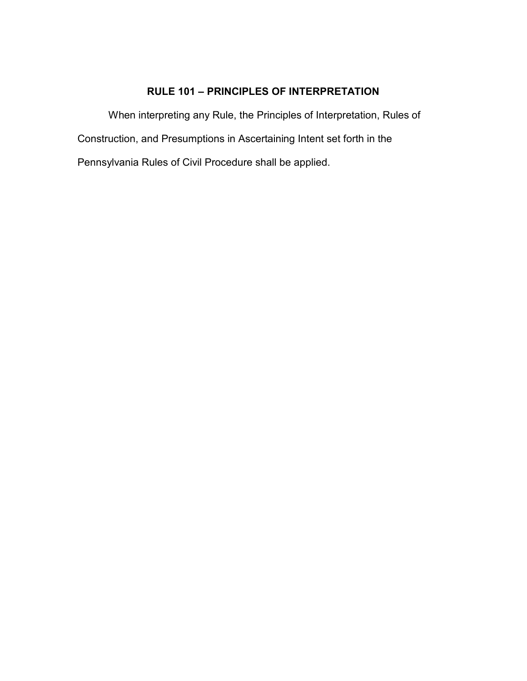# **RULE 101 – PRINCIPLES OF INTERPRETATION**

When interpreting any Rule, the Principles of Interpretation, Rules of Construction, and Presumptions in Ascertaining Intent set forth in the Pennsylvania Rules of Civil Procedure shall be applied.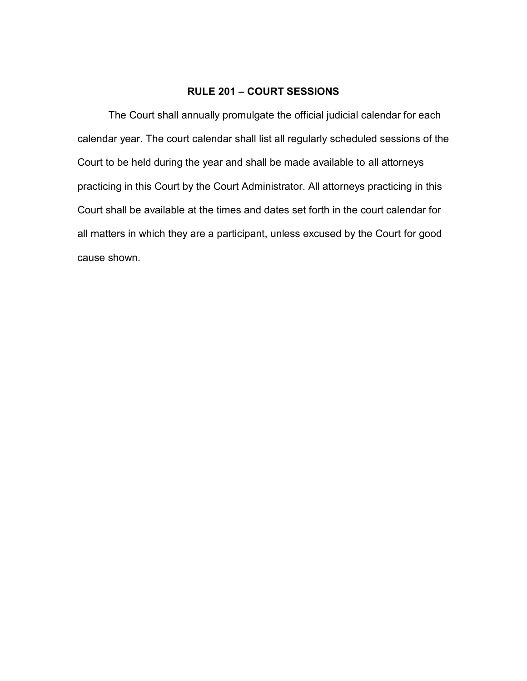### **RULE 201 – COURT SESSIONS**

The Court shall annually promulgate the official judicial calendar for each calendar year. The court calendar shall list all regularly scheduled sessions of the Court to be held during the year and shall be made available to all attorneys practicing in this Court by the Court Administrator. All attorneys practicing in this Court shall be available at the times and dates set forth in the court calendar for all matters in which they are a participant, unless excused by the Court for good cause shown.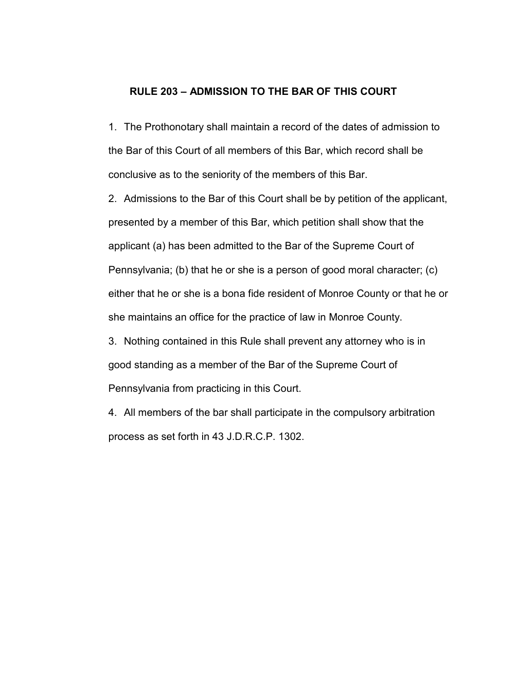#### **RULE 203 – ADMISSION TO THE BAR OF THIS COURT**

1. The Prothonotary shall maintain a record of the dates of admission to the Bar of this Court of all members of this Bar, which record shall be conclusive as to the seniority of the members of this Bar.

2. Admissions to the Bar of this Court shall be by petition of the applicant, presented by a member of this Bar, which petition shall show that the applicant (a) has been admitted to the Bar of the Supreme Court of Pennsylvania; (b) that he or she is a person of good moral character; (c) either that he or she is a bona fide resident of Monroe County or that he or she maintains an office for the practice of law in Monroe County.

3. Nothing contained in this Rule shall prevent any attorney who is in good standing as a member of the Bar of the Supreme Court of Pennsylvania from practicing in this Court.

4. All members of the bar shall participate in the compulsory arbitration process as set forth in 43 J.D.R.C.P. 1302.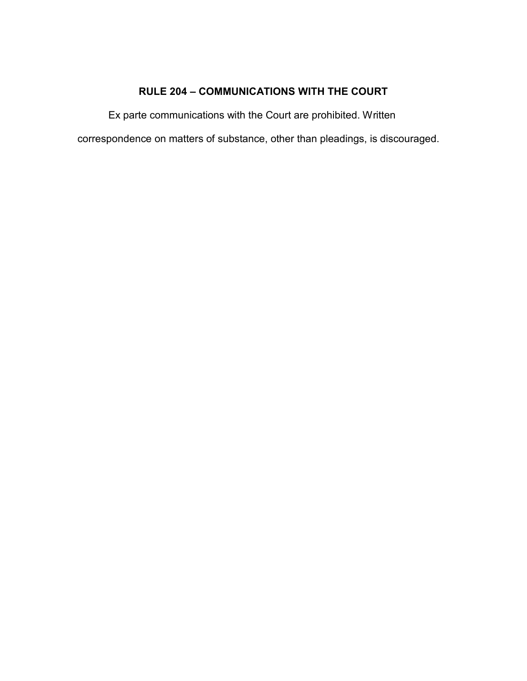# **RULE 204 – COMMUNICATIONS WITH THE COURT**

Ex parte communications with the Court are prohibited. Written

correspondence on matters of substance, other than pleadings, is discouraged.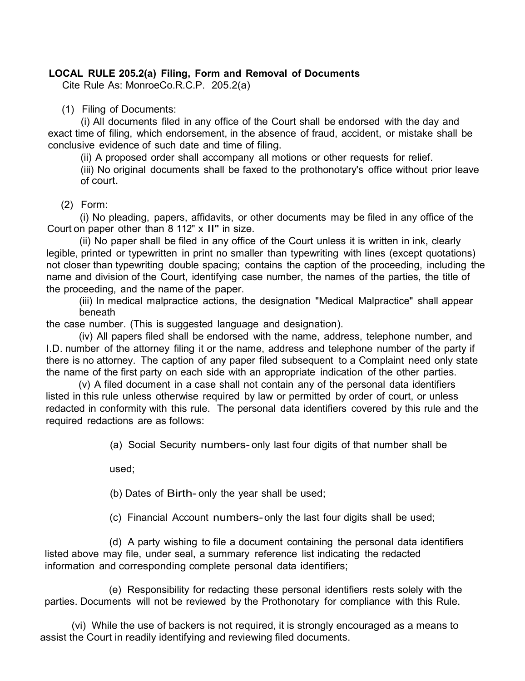### **LOCAL RULE 205.2(a) Filing, Form and Removal of Documents**

Cite Rule As: MonroeCo.R.C.P. 205.2(a)

(1) Filing of Documents:

(i) All documents filed in any office of the Court shall be endorsed with the day and exact time of filing, which endorsement, in the absence of fraud, accident, or mistake shall be conclusive evidence of such date and time of filing.

(ii) A proposed order shall accompany all motions or other requests for relief.

(iii) No original documents shall be faxed to the prothonotary's office without prior leave of court.

(2) Form:

(i) No pleading, papers, affidavits, or other documents may be filed in any office of the Court on paper other than 8 112" x II" in size.

(ii) No paper shall be filed in any office of the Court unless it is written in ink, clearly legible, printed or typewritten in print no smaller than typewriting with lines (except quotations) not closer than typewriting double spacing; contains the caption of the proceeding, including the name and division of the Court, identifying case number, the names of the parties, the title of the proceeding, and the name of the paper.

(iii) In medical malpractice actions, the designation "Medical Malpractice" shall appear beneath

the case number. (This is suggested language and designation).

(iv) All papers filed shall be endorsed with the name, address, telephone number, and I.D. number of the attorney filing it or the name, address and telephone number of the party if there is no attorney. The caption of any paper filed subsequent to a Complaint need only state the name of the first party on each side with an appropriate indication of the other parties.

(v) A filed document in a case shall not contain any of the personal data identifiers listed in this rule unless otherwise required by law or permitted by order of court, or unless redacted in conformity with this rule. The personal data identifiers covered by this rule and the required redactions are as follows:

(a) Social Security numbers- only last four digits of that number shall be

used;

(b) Dates of Birth- only the year shall be used;

(c) Financial Account numbers- only the last four digits shall be used;

(d) A party wishing to file a document containing the personal data identifiers listed above may file, under seal, a summary reference list indicating the redacted information and corresponding complete personal data identifiers;

(e) Responsibility for redacting these personal identifiers rests solely with the parties. Documents will not be reviewed by the Prothonotary for compliance with this Rule.

(vi) While the use of backers is not required, it is strongly encouraged as a means to assist the Court in readily identifying and reviewing filed documents.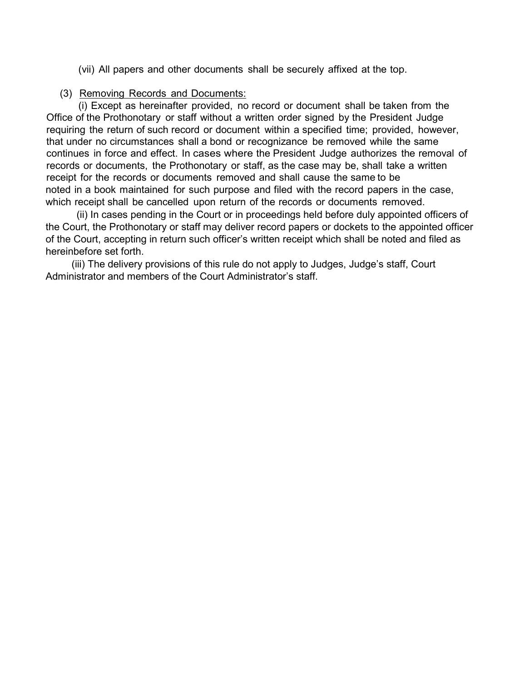(vii) All papers and other documents shall be securely affixed at the top.

### (3) Removing Records and Documents:

(i) Except as hereinafter provided, no record or document shall be taken from the Office of the Prothonotary or staff without a written order signed by the President Judge requiring the return of such record or document within a specified time; provided, however, that under no circumstances shall a bond or recognizance be removed while the same continues in force and effect. In cases where the President Judge authorizes the removal of records or documents, the Prothonotary or staff, as the case may be, shall take a written receipt for the records or documents removed and shall cause the same to be noted in a book maintained for such purpose and filed with the record papers in the case, which receipt shall be cancelled upon return of the records or documents removed.

(ii) In cases pending in the Court or in proceedings held before duly appointed officers of the Court, the Prothonotary or staff may deliver record papers or dockets to the appointed officer of the Court, accepting in return such officer's written receipt which shall be noted and filed as hereinbefore set forth.

(iii) The delivery provisions of this rule do not apply to Judges, Judge's staff, Court Administrator and members of the Court Administrator's staff.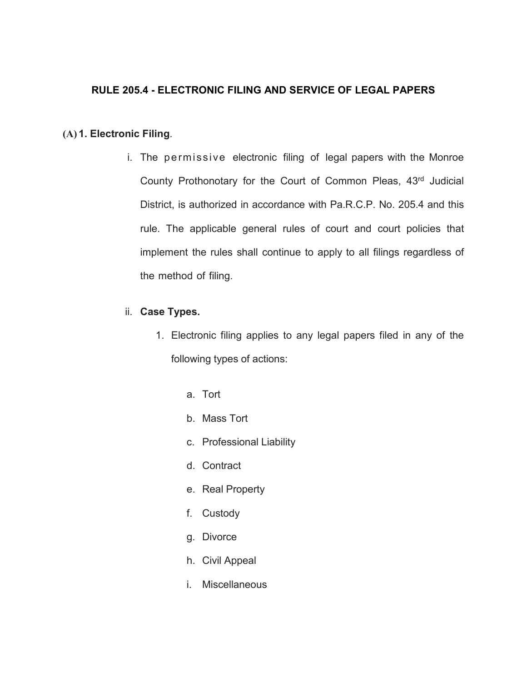### **RULE 205.4 - ELECTRONIC FILING AND SERVICE OF LEGAL PAPERS**

### **(A) 1. Electronic Filing**.

i. The permissive electronic filing of legal papers with the Monroe County Prothonotary for the Court of Common Pleas, 43rd Judicial District, is authorized in accordance with Pa.R.C.P. No. 205.4 and this rule. The applicable general rules of court and court policies that implement the rules shall continue to apply to all filings regardless of the method of filing.

### ii. **Case Types.**

- 1. Electronic filing applies to any legal papers filed in any of the following types of actions:
	- a. Tort
	- b. Mass Tort
	- c. Professional Liability
	- d. Contract
	- e. Real Property
	- f. Custody
	- g. Divorce
	- h. Civil Appeal
	- i. Miscellaneous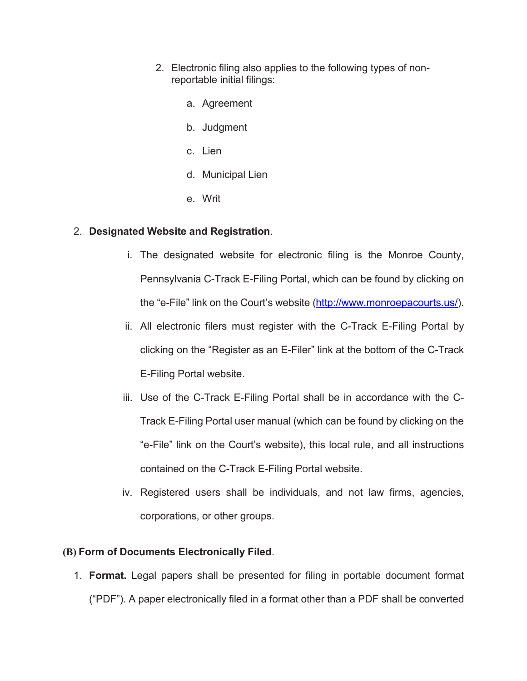- 2. Electronic filing also applies to the following types of nonreportable initial filings:
	- a. Agreement
	- b. Judgment
	- c. Lien
	- d. Municipal Lien
	- e. Writ

#### 2. **Designated Website and Registration**.

- i. The designated website for electronic filing is the Monroe County, Pennsylvania C-Track E-Filing Portal, which can be found by clicking on the "e-File" link on the Court's website (http://www.monroepacourts.us/).
- ii. All electronic filers must register with the C-Track E-Filing Portal by clicking on the "Register as an E-Filer" link at the bottom of the C-Track [E-Filing Portal website.](http://www.monroepacourts.us/)
- iii. Use of the C-Track E-Filing Portal shall be in accordance with the C-Track E-Filing Portal user manual (which can be found by clicking on the "e-File" link on the Court's website), this local rule, and all instructions contained on the C-Track E-Filing Portal website.
- iv. Registered users shall be individuals, and not law firms, agencies, corporations, or other groups.

#### **(B) Form of Documents Electronically Filed**.

1. **Format.** Legal papers shall be presented for filing in portable document format ("PDF"). A paper electronically filed in a format other than a PDF shall be converted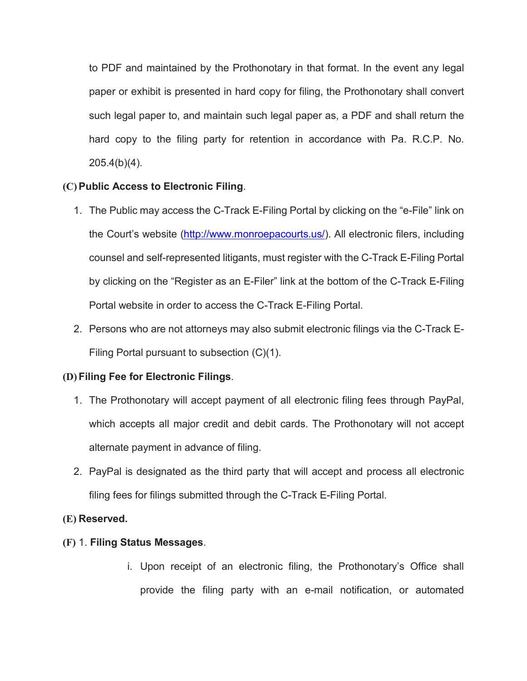to PDF and maintained by the Prothonotary in that format. In the event any legal paper or exhibit is presented in hard copy for filing, the Prothonotary shall convert such legal paper to, and maintain such legal paper as, a PDF and shall return the hard copy to the filing party for retention in accordance with Pa. R.C.P. No. 205.4(b)(4).

### **(C)Public Access to Electronic Filing**.

- 1. The Public may access the C-Track E-Filing Portal by clicking on the "e-File" link on the Court's website (http://www.monroepacourts.us/). All electronic filers, including counsel and self-represented litigants, must register with the C-Track E-Filing Portal by clicking on the "Register as an E-Filer" link at the bottom of the C-Track E-Filing Portal website in order to a[ccess the C-Track E-Filing Porta](http://www.monroepacourts.us/)l.
- 2. Persons who are not attorneys may also submit electronic filings via the C-Track E-Filing Portal pursuant to subsection (C)(1).

### **(D) Filing Fee for Electronic Filings**.

- 1. The Prothonotary will accept payment of all electronic filing fees through PayPal, which accepts all major credit and debit cards. The Prothonotary will not accept alternate payment in advance of filing.
- 2. PayPal is designated as the third party that will accept and process all electronic filing fees for filings submitted through the C-Track E-Filing Portal.

### **(E) Reserved.**

### **(F)** 1. **Filing Status Messages**.

i. Upon receipt of an electronic filing, the Prothonotary's Office shall provide the filing party with an e-mail notification, or automated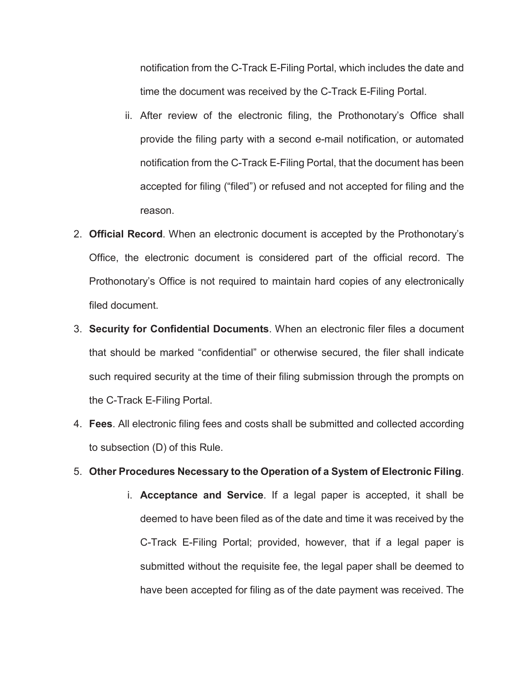notification from the C-Track E-Filing Portal, which includes the date and time the document was received by the C-Track E-Filing Portal.

- ii. After review of the electronic filing, the Prothonotary's Office shall provide the filing party with a second e-mail notification, or automated notification from the C-Track E-Filing Portal, that the document has been accepted for filing ("filed") or refused and not accepted for filing and the reason.
- 2. **Official Record**. When an electronic document is accepted by the Prothonotary's Office, the electronic document is considered part of the official record. The Prothonotary's Office is not required to maintain hard copies of any electronically filed document.
- 3. **Security for Confidential Documents**. When an electronic filer files a document that should be marked "confidential" or otherwise secured, the filer shall indicate such required security at the time of their filing submission through the prompts on the C-Track E-Filing Portal.
- 4. **Fees**. All electronic filing fees and costs shall be submitted and collected according to subsection (D) of this Rule.

#### 5. **Other Procedures Necessary to the Operation of a System of Electronic Filing**.

i. **Acceptance and Service**. If a legal paper is accepted, it shall be deemed to have been filed as of the date and time it was received by the C-Track E-Filing Portal; provided, however, that if a legal paper is submitted without the requisite fee, the legal paper shall be deemed to have been accepted for filing as of the date payment was received. The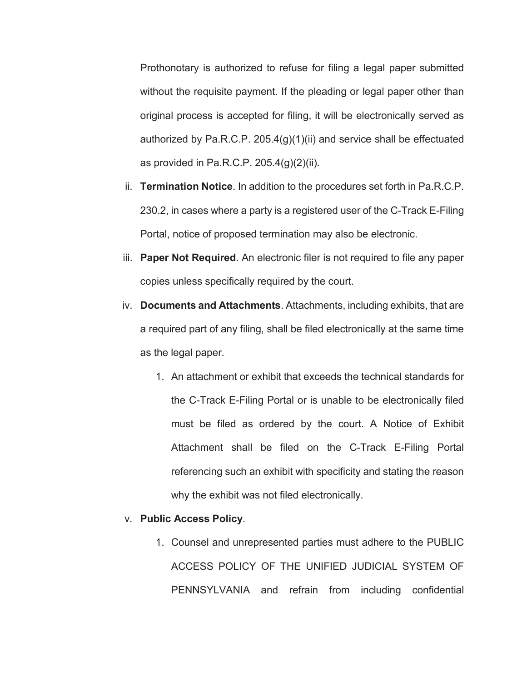Prothonotary is authorized to refuse for filing a legal paper submitted without the requisite payment. If the pleading or legal paper other than original process is accepted for filing, it will be electronically served as authorized by Pa.R.C.P. 205.4(g)(1)(ii) and service shall be effectuated as provided in Pa.R.C.P.  $205.4(q)(2)(ii)$ .

- ii. **Termination Notice**. In addition to the procedures set forth in Pa.R.C.P. 230.2, in cases where a party is a registered user of the C-Track E-Filing Portal, notice of proposed termination may also be electronic.
- iii. **Paper Not Required**. An electronic filer is not required to file any paper copies unless specifically required by the court.
- iv. **Documents and Attachments**. Attachments, including exhibits, that are a required part of any filing, shall be filed electronically at the same time as the legal paper.
	- 1. An attachment or exhibit that exceeds the technical standards for the C-Track E-Filing Portal or is unable to be electronically filed must be filed as ordered by the court. A Notice of Exhibit Attachment shall be filed on the C-Track E-Filing Portal referencing such an exhibit with specificity and stating the reason why the exhibit was not filed electronically.

#### v. **Public Access Policy**.

1. Counsel and unrepresented parties must adhere to the PUBLIC ACCESS POLICY OF THE UNIFIED JUDICIAL SYSTEM OF PENNSYLVANIA and refrain from including confidential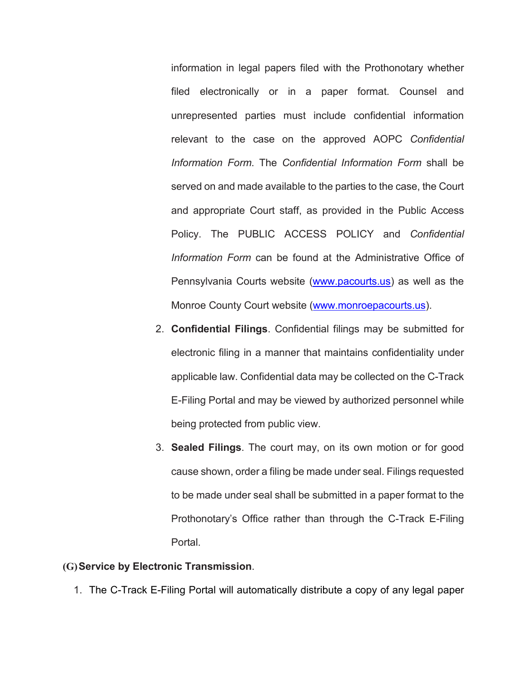information in legal papers filed with the Prothonotary whether filed electronically or in a paper format. Counsel and unrepresented parties must include confidential information relevant to the case on the approved AOPC *Confidential Information Form*. The *Confidential Information Form* shall be served on and made available to the parties to the case, the Court and appropriate Court staff, as provided in the Public Access Policy. The PUBLIC ACCESS POLICY and *Confidential Information Form* can be found at the Administrative Office of Pennsylvania Courts website (www.pacourts.us) as well as the Monroe County Court website (www.monroepacourts.us).

- 2. **Confidential Filings**. Confidential filings may be submitted for electronic filing in a manner that maintains confidentiality under applicable law. Confidential data may be collected on the C-Track E-Filing Portal and may be vie[wed by authorized](http://www.pacourts.us/) personnel while being protected from public vie[w.](http://www.monroepacourts.us/)
- 3. **Sealed Filings**. The court may, on its own motion or for good cause shown, order a filing be made under seal. Filings requested to be made under seal shall be submitted in a paper format to the Prothonotary's Office rather than through the C-Track E-Filing Portal.

#### **(G)Service by Electronic Transmission**.

1. The C-Track E-Filing Portal will automatically distribute a copy of any legal paper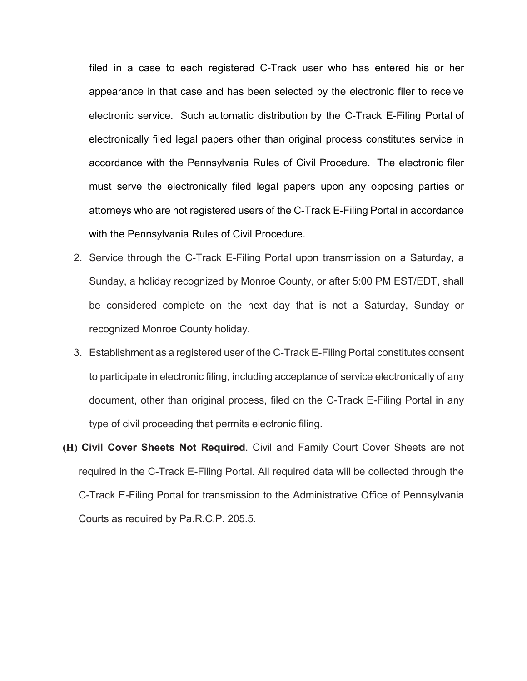filed in a case to each registered C-Track user who has entered his or her appearance in that case and has been selected by the electronic filer to receive electronic service. Such automatic distribution by the C-Track E-Filing Portal of electronically filed legal papers other than original process constitutes service in accordance with the Pennsylvania Rules of Civil Procedure. The electronic filer must serve the electronically filed legal papers upon any opposing parties or attorneys who are not registered users of the C-Track E-Filing Portal in accordance with the Pennsylvania Rules of Civil Procedure.

- 2. Service through the C-Track E-Filing Portal upon transmission on a Saturday, a Sunday, a holiday recognized by Monroe County, or after 5:00 PM EST/EDT, shall be considered complete on the next day that is not a Saturday, Sunday or recognized Monroe County holiday.
- 3. Establishment as a registered user of the C-Track E-Filing Portal constitutes consent to participate in electronic filing, including acceptance of service electronically of any document, other than original process, filed on the C-Track E-Filing Portal in any type of civil proceeding that permits electronic filing.
- **(H) Civil Cover Sheets Not Required**. Civil and Family Court Cover Sheets are not required in the C-Track E-Filing Portal. All required data will be collected through the C-Track E-Filing Portal for transmission to the Administrative Office of Pennsylvania Courts as required by Pa.R.C.P. 205.5.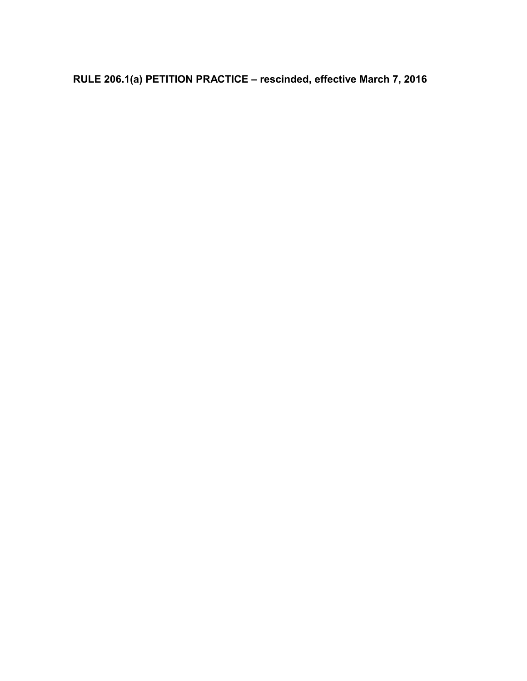**RULE 206.1(a) PETITION PRACTICE – rescinded, effective March 7, 2016**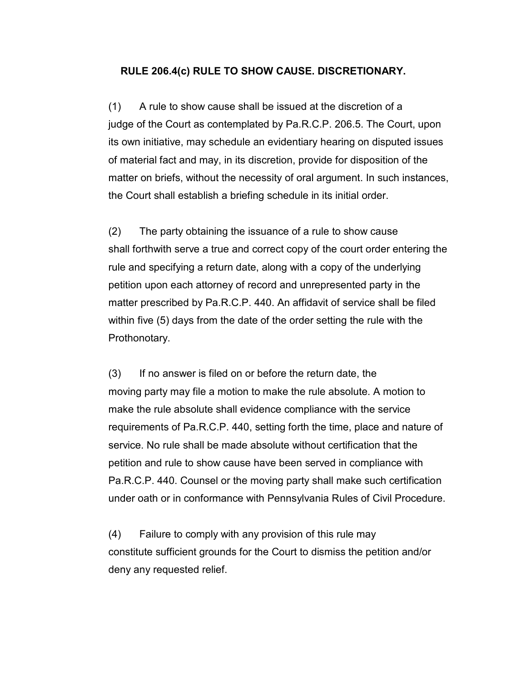### **RULE 206.4(c) RULE TO SHOW CAUSE. DISCRETIONARY.**

(1) A rule to show cause shall be issued at the discretion of a judge of the Court as contemplated by Pa.R.C.P. 206.5. The Court, upon its own initiative, may schedule an evidentiary hearing on disputed issues of material fact and may, in its discretion, provide for disposition of the matter on briefs, without the necessity of oral argument. In such instances, the Court shall establish a briefing schedule in its initial order.

(2) The party obtaining the issuance of a rule to show cause shall forthwith serve a true and correct copy of the court order entering the rule and specifying a return date, along with a copy of the underlying petition upon each attorney of record and unrepresented party in the matter prescribed by Pa.R.C.P. 440. An affidavit of service shall be filed within five (5) days from the date of the order setting the rule with the Prothonotary.

(3) If no answer is filed on or before the return date, the moving party may file a motion to make the rule absolute. A motion to make the rule absolute shall evidence compliance with the service requirements of Pa.R.C.P. 440, setting forth the time, place and nature of service. No rule shall be made absolute without certification that the petition and rule to show cause have been served in compliance with Pa.R.C.P. 440. Counsel or the moving party shall make such certification under oath or in conformance with Pennsylvania Rules of Civil Procedure.

(4) Failure to comply with any provision of this rule may constitute sufficient grounds for the Court to dismiss the petition and/or deny any requested relief.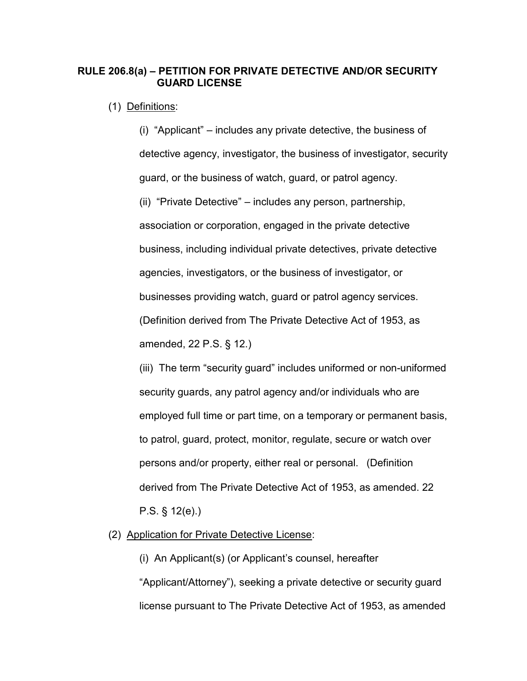### **RULE 206.8(a) – PETITION FOR PRIVATE DETECTIVE AND/OR SECURITY GUARD LICENSE**

(1) Definitions:

(i) "Applicant" – includes any private detective, the business of detective agency, investigator, the business of investigator, security guard, or the business of watch, guard, or patrol agency. (ii) "Private Detective" – includes any person, partnership, association or corporation, engaged in the private detective business, including individual private detectives, private detective agencies, investigators, or the business of investigator, or businesses providing watch, guard or patrol agency services. (Definition derived from The Private Detective Act of 1953, as amended, 22 P.S. § 12.)

(iii) The term "security guard" includes uniformed or non-uniformed security guards, any patrol agency and/or individuals who are employed full time or part time, on a temporary or permanent basis, to patrol, guard, protect, monitor, regulate, secure or watch over persons and/or property, either real or personal. (Definition derived from The Private Detective Act of 1953, as amended. 22 P.S. § 12(e).)

(2) Application for Private Detective License:

(i) An Applicant(s) (or Applicant's counsel, hereafter "Applicant/Attorney"), seeking a private detective or security guard license pursuant to The Private Detective Act of 1953, as amended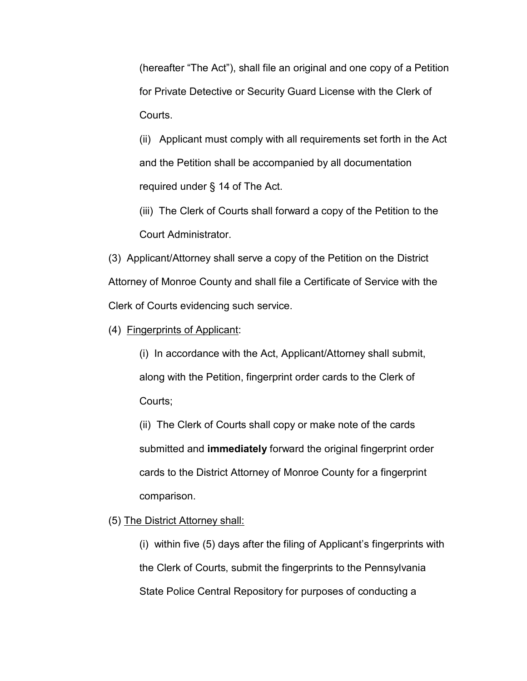(hereafter "The Act"), shall file an original and one copy of a Petition for Private Detective or Security Guard License with the Clerk of Courts.

(ii) Applicant must comply with all requirements set forth in the Act and the Petition shall be accompanied by all documentation required under § 14 of The Act.

(iii) The Clerk of Courts shall forward a copy of the Petition to the Court Administrator.

(3) Applicant/Attorney shall serve a copy of the Petition on the District Attorney of Monroe County and shall file a Certificate of Service with the Clerk of Courts evidencing such service.

(4) Fingerprints of Applicant:

(i) In accordance with the Act, Applicant/Attorney shall submit, along with the Petition, fingerprint order cards to the Clerk of Courts;

(ii) The Clerk of Courts shall copy or make note of the cards submitted and **immediately** forward the original fingerprint order cards to the District Attorney of Monroe County for a fingerprint comparison.

(5) The District Attorney shall:

(i) within five (5) days after the filing of Applicant's fingerprints with the Clerk of Courts, submit the fingerprints to the Pennsylvania State Police Central Repository for purposes of conducting a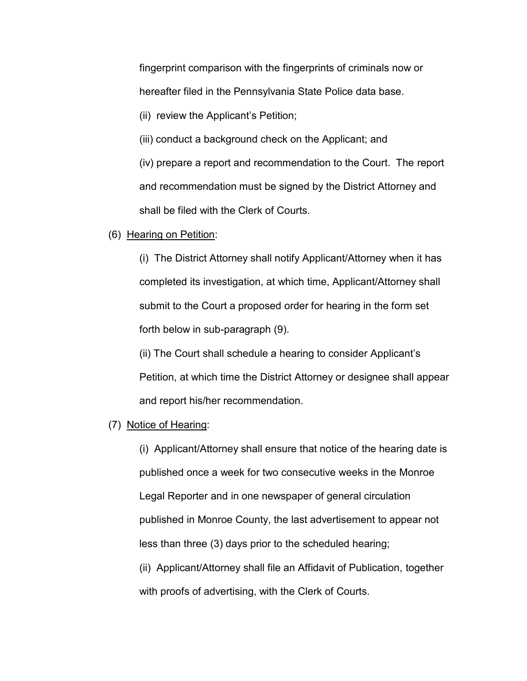fingerprint comparison with the fingerprints of criminals now or hereafter filed in the Pennsylvania State Police data base.

(ii) review the Applicant's Petition;

(iii) conduct a background check on the Applicant; and

(iv) prepare a report and recommendation to the Court. The report and recommendation must be signed by the District Attorney and shall be filed with the Clerk of Courts.

#### (6) Hearing on Petition:

(i) The District Attorney shall notify Applicant/Attorney when it has completed its investigation, at which time, Applicant/Attorney shall submit to the Court a proposed order for hearing in the form set forth below in sub-paragraph (9).

(ii) The Court shall schedule a hearing to consider Applicant's Petition, at which time the District Attorney or designee shall appear and report his/her recommendation.

#### (7) Notice of Hearing:

(i) Applicant/Attorney shall ensure that notice of the hearing date is published once a week for two consecutive weeks in the Monroe Legal Reporter and in one newspaper of general circulation published in Monroe County, the last advertisement to appear not less than three (3) days prior to the scheduled hearing;

(ii) Applicant/Attorney shall file an Affidavit of Publication, together with proofs of advertising, with the Clerk of Courts.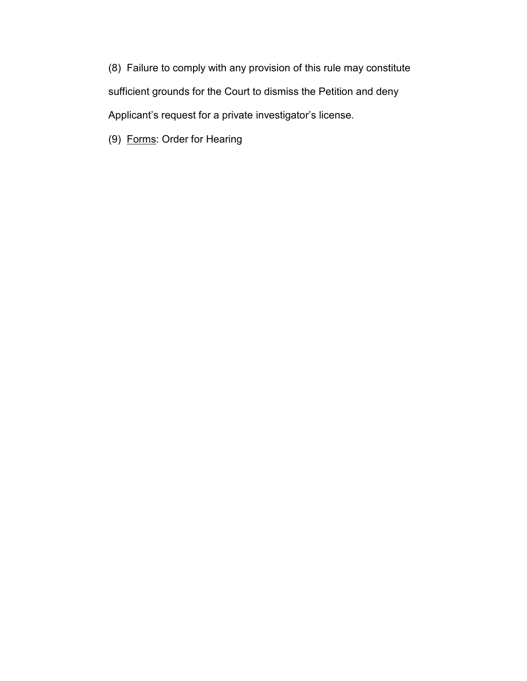(8) Failure to comply with any provision of this rule may constitute sufficient grounds for the Court to dismiss the Petition and deny Applicant's request for a private investigator's license.

(9) Forms: Order for Hearing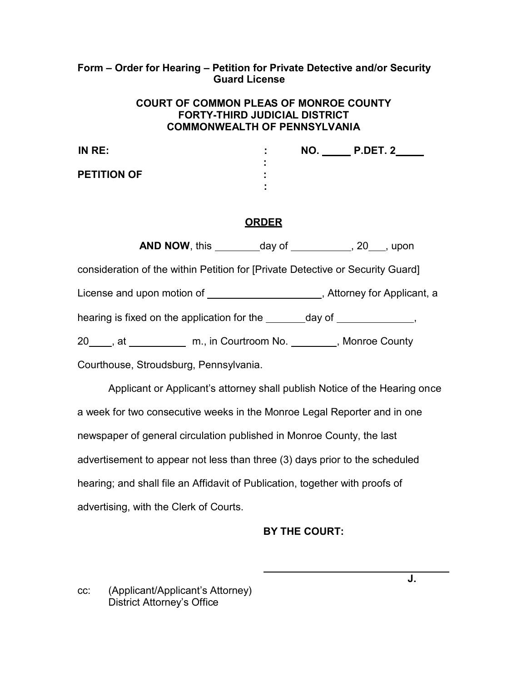### **Form – Order for Hearing – Petition for Private Detective and/or Security Guard License**

### **COURT OF COMMON PLEAS OF MONROE COUNTY FORTY-THIRD JUDICIAL DISTRICT COMMONWEALTH OF PENNSYLVANIA**

| IN RE:             | ٠ | NO. | P.DET. 2 |
|--------------------|---|-----|----------|
| <b>PETITION OF</b> |   |     |          |
|                    |   |     |          |

### **ORDER**

**AND NOW**, this day of , 20 , upon consideration of the within Petition for [Private Detective or Security Guard] License and upon motion of \_\_\_\_\_\_\_\_\_\_\_\_\_\_\_\_\_\_\_\_\_\_, Attorney for Applicant, a hearing is fixed on the application for the  $\_\_\_\_$  day of  $\_\_\_\_\_\_\_\_$ 20 , at m., in Courtroom No. (a) Monroe County Courthouse, Stroudsburg, Pennsylvania.

Applicant or Applicant's attorney shall publish Notice of the Hearing once a week for two consecutive weeks in the Monroe Legal Reporter and in one newspaper of general circulation published in Monroe County, the last advertisement to appear not less than three (3) days prior to the scheduled hearing; and shall file an Affidavit of Publication, together with proofs of advertising, with the Clerk of Courts.

# **BY THE COURT:**

cc: (Applicant/Applicant's Attorney) District Attorney's Office

**J.**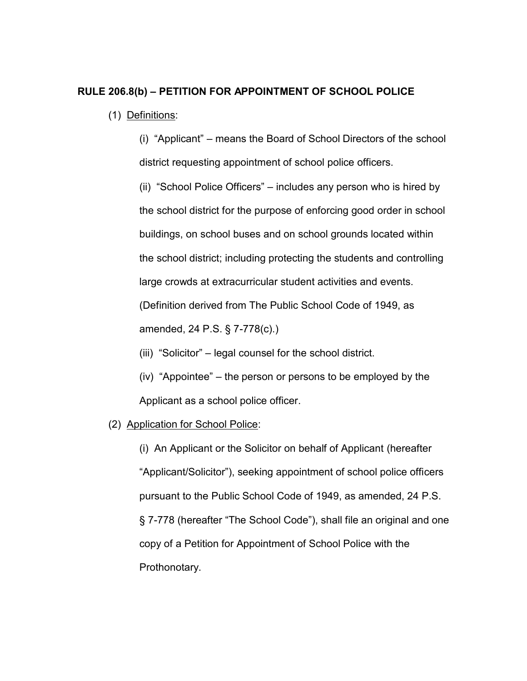### **RULE 206.8(b) – PETITION FOR APPOINTMENT OF SCHOOL POLICE**

(1) Definitions:

(i) "Applicant" – means the Board of School Directors of the school district requesting appointment of school police officers.

(ii) "School Police Officers" – includes any person who is hired by the school district for the purpose of enforcing good order in school buildings, on school buses and on school grounds located within the school district; including protecting the students and controlling large crowds at extracurricular student activities and events. (Definition derived from The Public School Code of 1949, as amended, 24 P.S. § 7-778(c).)

- (iii) "Solicitor" legal counsel for the school district.
- (iv) "Appointee" the person or persons to be employed by the Applicant as a school police officer.
- (2) Application for School Police:

(i) An Applicant or the Solicitor on behalf of Applicant (hereafter "Applicant/Solicitor"), seeking appointment of school police officers pursuant to the Public School Code of 1949, as amended, 24 P.S. § 7-778 (hereafter "The School Code"), shall file an original and one copy of a Petition for Appointment of School Police with the Prothonotary.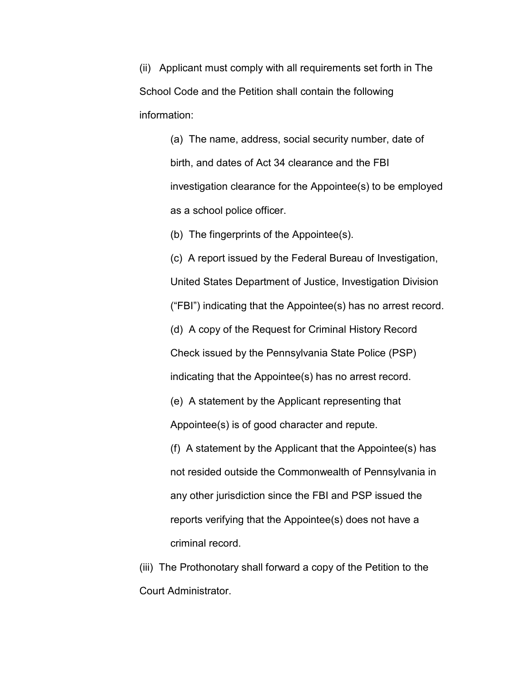(ii) Applicant must comply with all requirements set forth in The School Code and the Petition shall contain the following information:

> (a) The name, address, social security number, date of birth, and dates of Act 34 clearance and the FBI investigation clearance for the Appointee(s) to be employed as a school police officer.

(b) The fingerprints of the Appointee(s).

(c) A report issued by the Federal Bureau of Investigation, United States Department of Justice, Investigation Division ("FBI") indicating that the Appointee(s) has no arrest record. (d) A copy of the Request for Criminal History Record Check issued by the Pennsylvania State Police (PSP) indicating that the Appointee(s) has no arrest record.

(e) A statement by the Applicant representing that Appointee(s) is of good character and repute.

(f) A statement by the Applicant that the Appointee(s) has not resided outside the Commonwealth of Pennsylvania in any other jurisdiction since the FBI and PSP issued the reports verifying that the Appointee(s) does not have a criminal record.

(iii) The Prothonotary shall forward a copy of the Petition to the Court Administrator.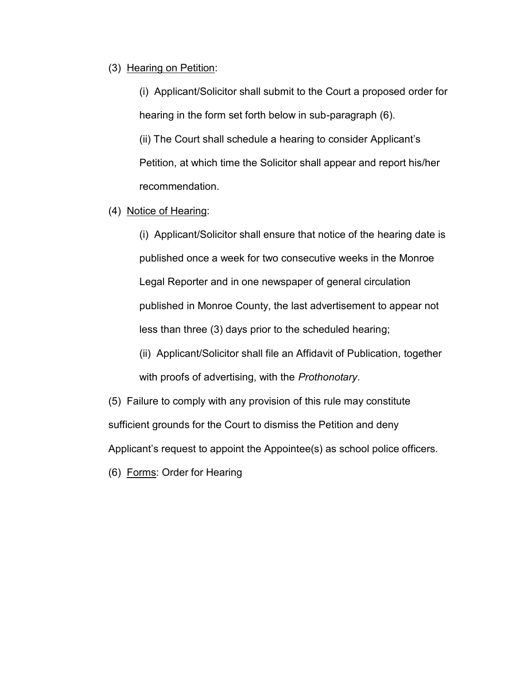#### (3) Hearing on Petition:

(i) Applicant/Solicitor shall submit to the Court a proposed order for hearing in the form set forth below in sub-paragraph (6). (ii) The Court shall schedule a hearing to consider Applicant's Petition, at which time the Solicitor shall appear and report his/her recommendation.

#### (4) Notice of Hearing:

(i) Applicant/Solicitor shall ensure that notice of the hearing date is published once a week for two consecutive weeks in the Monroe Legal Reporter and in one newspaper of general circulation published in Monroe County, the last advertisement to appear not less than three (3) days prior to the scheduled hearing;

(ii) Applicant/Solicitor shall file an Affidavit of Publication, together with proofs of advertising, with the *Prothonotary*.

(5) Failure to comply with any provision of this rule may constitute sufficient grounds for the Court to dismiss the Petition and deny Applicant's request to appoint the Appointee(s) as school police officers.

(6) Forms: Order for Hearing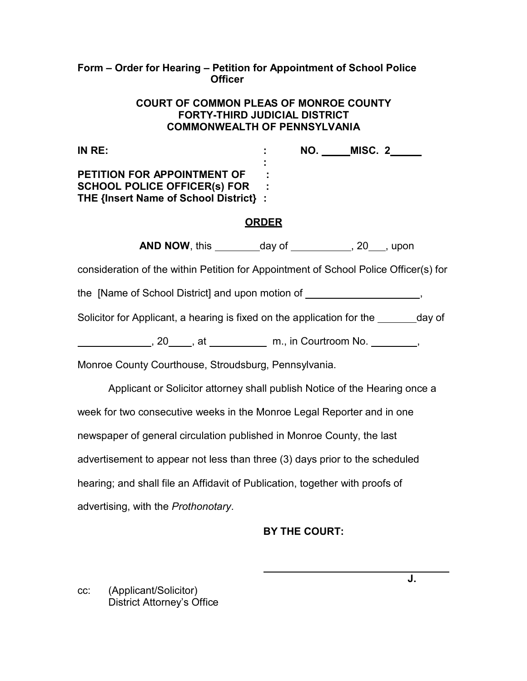### **Form – Order for Hearing – Petition for Appointment of School Police Officer**

### **COURT OF COMMON PLEAS OF MONROE COUNTY FORTY-THIRD JUDICIAL DISTRICT COMMONWEALTH OF PENNSYLVANIA**

**IN RE: : NO. MISC. 2 : PETITION FOR APPOINTMENT OF : SCHOOL POLICE OFFICER(S) FOR THE {Insert Name of School District} :**

### **ORDER**

**AND NOW**, this day of , 20 , upon

consideration of the within Petition for Appointment of School Police Officer(s) for

the [Name of School District] and upon motion of \_\_\_\_\_\_\_\_\_\_\_\_\_\_\_\_\_\_\_\_\_\_\_\_,

Solicitor for Applicant, a hearing is fixed on the application for the \_\_\_\_\_\_\_ day of

, 20 , at m., in Courtroom No.

Monroe County Courthouse, Stroudsburg, Pennsylvania.

Applicant or Solicitor attorney shall publish Notice of the Hearing once a

week for two consecutive weeks in the Monroe Legal Reporter and in one

newspaper of general circulation published in Monroe County, the last

advertisement to appear not less than three (3) days prior to the scheduled

hearing; and shall file an Affidavit of Publication, together with proofs of

advertising, with the *Prothonotary*.

# **BY THE COURT:**

cc: (Applicant/Solicitor) District Attorney's Office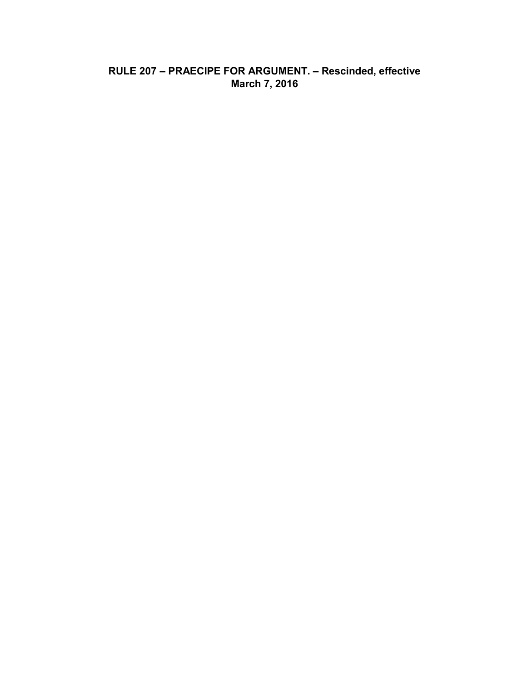# **RULE 207 – PRAECIPE FOR ARGUMENT. – Rescinded, effective March 7, 2016**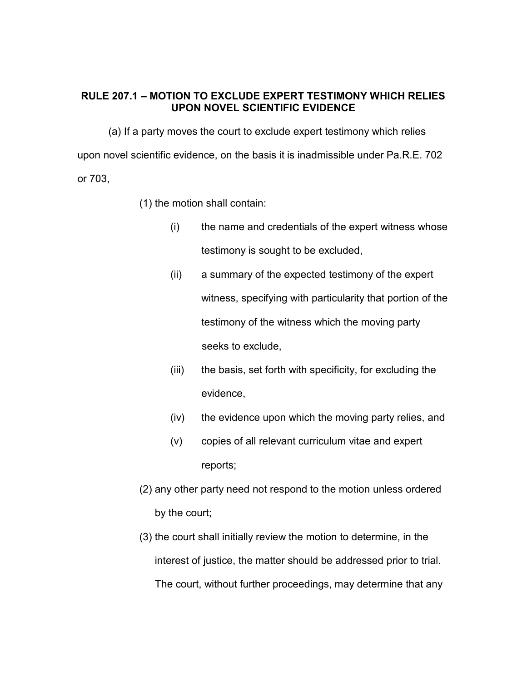## **RULE 207.1 – MOTION TO EXCLUDE EXPERT TESTIMONY WHICH RELIES UPON NOVEL SCIENTIFIC EVIDENCE**

(a) If a party moves the court to exclude expert testimony which relies upon novel scientific evidence, on the basis it is inadmissible under Pa.R.E. 702 or 703,

(1) the motion shall contain:

- (i) the name and credentials of the expert witness whose testimony is sought to be excluded,
- (ii) a summary of the expected testimony of the expert witness, specifying with particularity that portion of the testimony of the witness which the moving party seeks to exclude,
- (iii) the basis, set forth with specificity, for excluding the evidence,
- (iv) the evidence upon which the moving party relies, and
- (v) copies of all relevant curriculum vitae and expert reports;
- (2) any other party need not respond to the motion unless ordered by the court;
- (3) the court shall initially review the motion to determine, in the interest of justice, the matter should be addressed prior to trial. The court, without further proceedings, may determine that any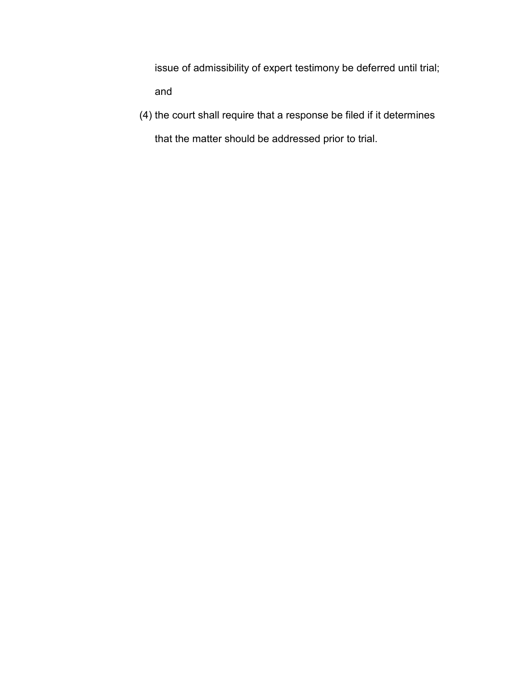issue of admissibility of expert testimony be deferred until trial; and

(4) the court shall require that a response be filed if it determines that the matter should be addressed prior to trial.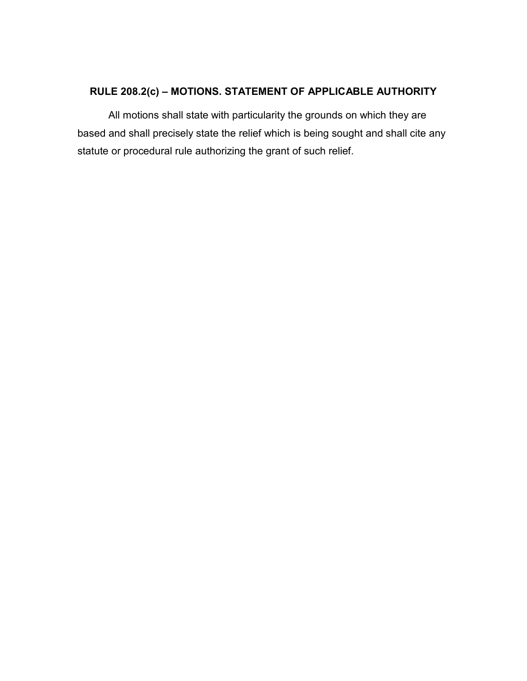## **RULE 208.2(c) – MOTIONS. STATEMENT OF APPLICABLE AUTHORITY**

All motions shall state with particularity the grounds on which they are based and shall precisely state the relief which is being sought and shall cite any statute or procedural rule authorizing the grant of such relief.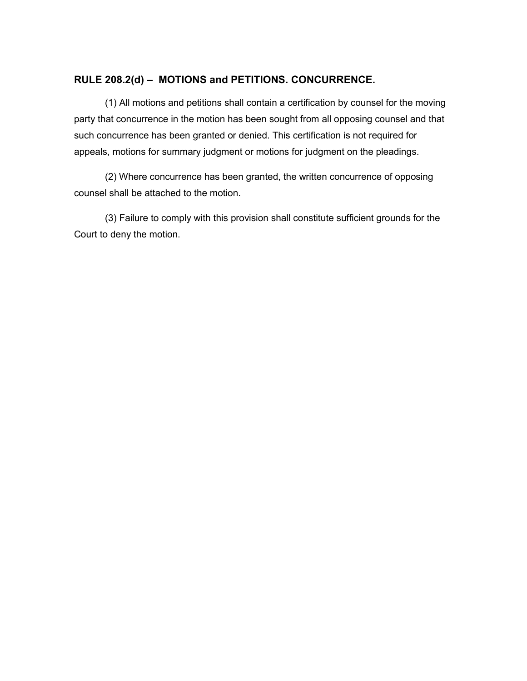### **RULE 208.2(d) – MOTIONS and PETITIONS. CONCURRENCE.**

(1) All motions and petitions shall contain a certification by counsel for the moving party that concurrence in the motion has been sought from all opposing counsel and that such concurrence has been granted or denied. This certification is not required for appeals, motions for summary judgment or motions for judgment on the pleadings.

(2) Where concurrence has been granted, the written concurrence of opposing counsel shall be attached to the motion.

(3) Failure to comply with this provision shall constitute sufficient grounds for the Court to deny the motion.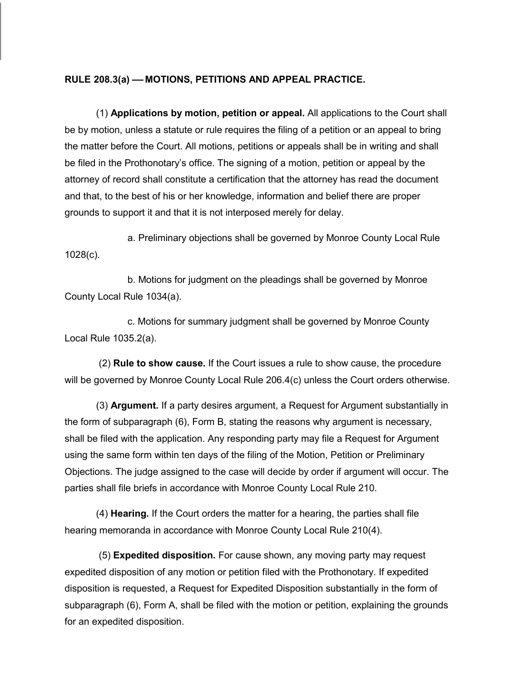#### **RULE 208.3(a) – MOTIONS, PETITIONS AND APPEAL PRACTICE.**

(1) **Applications by motion, petition or appeal.** All applications to the Court shall be by motion, unless a statute or rule requires the filing of a petition or an appeal to bring the matter before the Court. All motions, petitions or appeals shall be in writing and shall be filed in the Prothonotary's office. The signing of a motion, petition or appeal by the attorney of record shall constitute a certification that the attorney has read the document and that, to the best of his or her knowledge, information and belief there are proper grounds to support it and that it is not interposed merely for delay.

a. Preliminary objections shall be governed by Monroe County Local Rule 1028(c).

b. Motions for judgment on the pleadings shall be governed by Monroe County Local Rule 1034(a).

c. Motions for summary judgment shall be governed by Monroe County Local Rule 1035.2(a).

 (2) **Rule to show cause.** If the Court issues a rule to show cause, the procedure will be governed by Monroe County Local Rule 206.4(c) unless the Court orders otherwise.

(3) **Argument.** If a party desires argument, a Request for Argument substantially in the form of subparagraph (6), Form B, stating the reasons why argument is necessary, shall be filed with the application. Any responding party may file a Request for Argument using the same form within ten days of the filing of the Motion, Petition or Preliminary Objections. The judge assigned to the case will decide by order if argument will occur. The parties shall file briefs in accordance with Monroe County Local Rule 210.

(4) **Hearing.** If the Court orders the matter for a hearing, the parties shall file hearing memoranda in accordance with Monroe County Local Rule 210(4).

 (5) **Expedited disposition.** For cause shown, any moving party may request expedited disposition of any motion or petition filed with the Prothonotary. If expedited disposition is requested, a Request for Expedited Disposition substantially in the form of subparagraph (6), Form A, shall be filed with the motion or petition, explaining the grounds for an expedited disposition.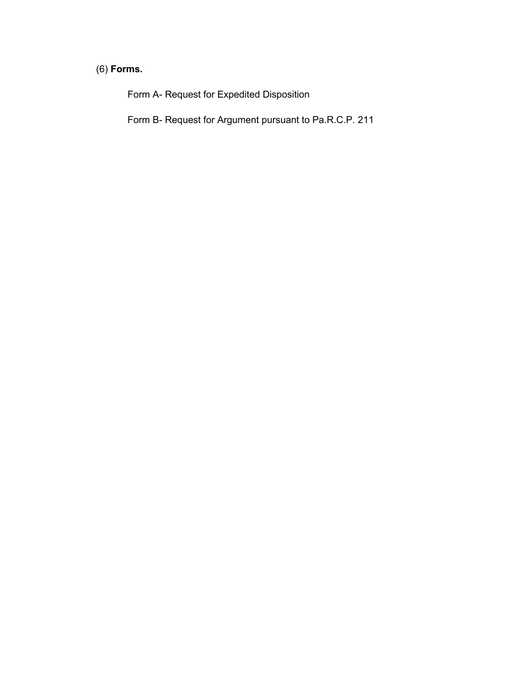# (6) **Forms.**

Form A- Request for Expedited Disposition

Form B- Request for Argument pursuant to Pa.R.C.P. 211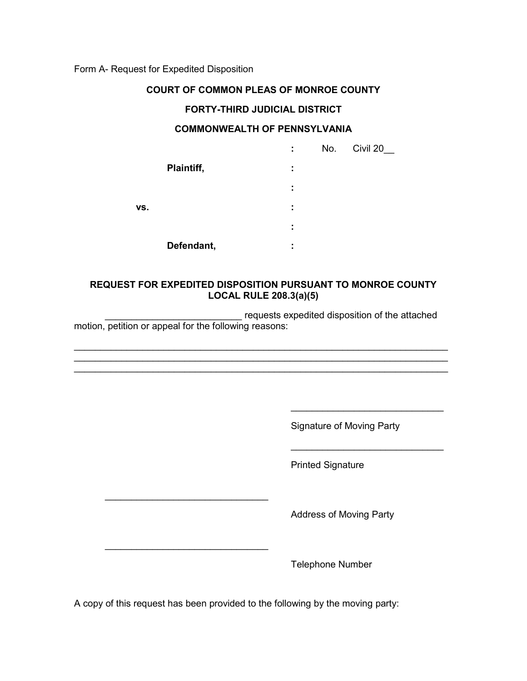Form A- Request for Expedited Disposition

#### **COURT OF COMMON PLEAS OF MONROE COUNTY**

#### **FORTY-THIRD JUDICIAL DISTRICT**

#### **COMMONWEALTH OF PENNSYLVANIA**

|     |            | ÷      | No. | Civil 20 |
|-----|------------|--------|-----|----------|
|     | Plaintiff, | ÷      |     |          |
|     |            | ÷      |     |          |
| VS. |            | ÷      |     |          |
|     |            | ÷      |     |          |
|     | Defendant, | ٠<br>٠ |     |          |

#### **REQUEST FOR EXPEDITED DISPOSITION PURSUANT TO MONROE COUNTY LOCAL RULE 208.3(a)(5)**

\_\_\_\_\_\_\_\_\_\_\_\_\_\_\_\_\_\_\_\_\_\_\_\_\_\_ requests expedited disposition of the attached motion, petition or appeal for the following reasons:

\_\_\_\_\_\_\_\_\_\_\_\_\_\_\_\_\_\_\_\_\_\_\_\_\_\_\_\_\_\_\_\_\_\_\_\_\_\_\_\_\_\_\_\_\_\_\_\_\_\_\_\_\_\_\_\_\_\_\_\_\_\_\_\_\_\_\_\_\_\_\_

\_\_\_\_\_\_\_\_\_\_\_\_\_\_\_\_\_\_\_\_\_\_\_\_\_\_\_\_\_\_\_\_\_\_\_\_\_\_\_\_\_\_\_\_\_\_\_\_\_\_\_\_\_\_\_\_\_\_\_\_\_\_\_\_\_\_\_\_\_\_\_

Signature of Moving Party

\_\_\_\_\_\_\_\_\_\_\_\_\_\_\_\_\_\_\_\_\_\_\_\_\_\_\_\_\_

\_\_\_\_\_\_\_\_\_\_\_\_\_\_\_\_\_\_\_\_\_\_\_\_\_\_\_\_\_

Printed Signature

Address of Moving Party

Telephone Number

A copy of this request has been provided to the following by the moving party:

\_\_\_\_\_\_\_\_\_\_\_\_\_\_\_\_\_\_\_\_\_\_\_\_\_\_\_\_\_\_\_

\_\_\_\_\_\_\_\_\_\_\_\_\_\_\_\_\_\_\_\_\_\_\_\_\_\_\_\_\_\_\_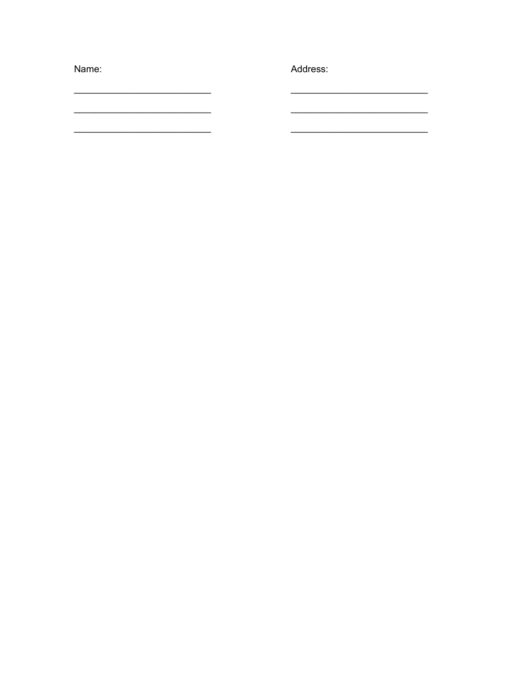Name:

<u> 1989 - Johann Stoff, fransk politik (d. 1989)</u>

<u> 1989 - Johann Barn, margaret eta idazlea (</u>

Address:

<u> 1989 - Johann John Stein, mars an deus Amerikaansk kommunister (</u>

<u> 1989 - Johann Barn, margaret eta idazlea (</u>

<u> 1989 - Johann Barnett, fransk politiker (</u>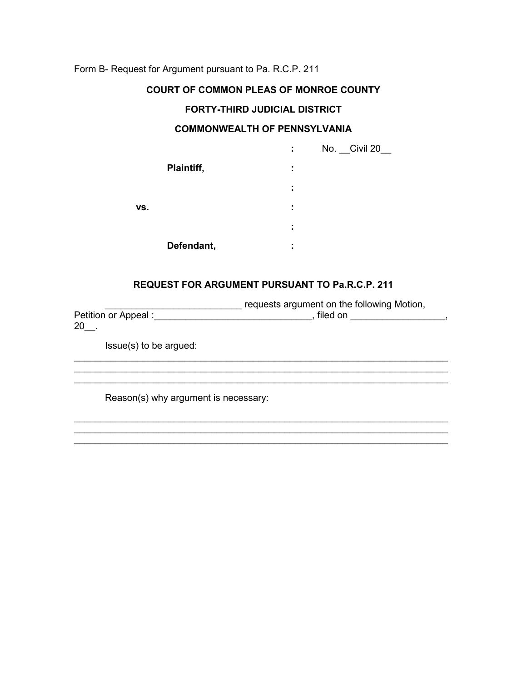### Form B- Request for Argument pursuant to Pa. R.C.P. 211

#### **COURT OF COMMON PLEAS OF MONROE COUNTY**

#### **FORTY-THIRD JUDICIAL DISTRICT**

#### **COMMONWEALTH OF PENNSYLVANIA**

|     |            | ÷      | No. __Civil 20__ |
|-----|------------|--------|------------------|
|     | Plaintiff, | ÷      |                  |
|     |            | ÷      |                  |
| VS. |            | ÷      |                  |
|     |            | ÷      |                  |
|     | Defendant, | ٠<br>٠ |                  |

### **REQUEST FOR ARGUMENT PURSUANT TO Pa.R.C.P. 211**

|                      | requests argument on the following Motion, |
|----------------------|--------------------------------------------|
| Petition or Appeal : | filed on                                   |
| 20                   |                                            |
|                      |                                            |

\_\_\_\_\_\_\_\_\_\_\_\_\_\_\_\_\_\_\_\_\_\_\_\_\_\_\_\_\_\_\_\_\_\_\_\_\_\_\_\_\_\_\_\_\_\_\_\_\_\_\_\_\_\_\_\_\_\_\_\_\_\_\_\_\_\_\_\_\_\_\_

\_\_\_\_\_\_\_\_\_\_\_\_\_\_\_\_\_\_\_\_\_\_\_\_\_\_\_\_\_\_\_\_\_\_\_\_\_\_\_\_\_\_\_\_\_\_\_\_\_\_\_\_\_\_\_\_\_\_\_\_\_\_\_\_\_\_\_\_\_\_\_

\_\_\_\_\_\_\_\_\_\_\_\_\_\_\_\_\_\_\_\_\_\_\_\_\_\_\_\_\_\_\_\_\_\_\_\_\_\_\_\_\_\_\_\_\_\_\_\_\_\_\_\_\_\_\_\_\_\_\_\_\_\_\_\_\_\_\_\_\_\_\_

Issue(s) to be argued:

Reason(s) why argument is necessary: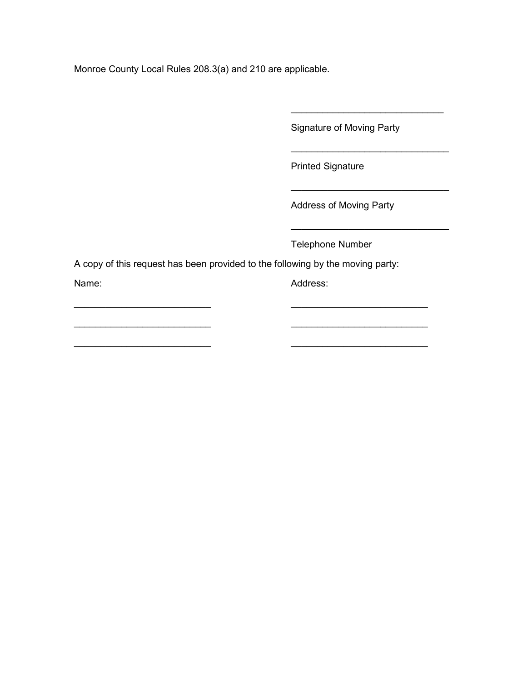Monroe County Local Rules 208.3(a) and 210 are applicable.

Signature of Moving Party

\_\_\_\_\_\_\_\_\_\_\_\_\_\_\_\_\_\_\_\_\_\_\_\_\_\_\_\_\_

\_\_\_\_\_\_\_\_\_\_\_\_\_\_\_\_\_\_\_\_\_\_\_\_\_\_\_\_\_\_

\_\_\_\_\_\_\_\_\_\_\_\_\_\_\_\_\_\_\_\_\_\_\_\_\_\_\_\_\_\_

\_\_\_\_\_\_\_\_\_\_\_\_\_\_\_\_\_\_\_\_\_\_\_\_\_\_\_\_\_\_

Printed Signature

Address of Moving Party

Telephone Number

A copy of this request has been provided to the following by the moving party:

\_\_\_\_\_\_\_\_\_\_\_\_\_\_\_\_\_\_\_\_\_\_\_\_\_\_ \_\_\_\_\_\_\_\_\_\_\_\_\_\_\_\_\_\_\_\_\_\_\_\_\_\_

\_\_\_\_\_\_\_\_\_\_\_\_\_\_\_\_\_\_\_\_\_\_\_\_\_\_ \_\_\_\_\_\_\_\_\_\_\_\_\_\_\_\_\_\_\_\_\_\_\_\_\_\_

Name: Name: Address: Address: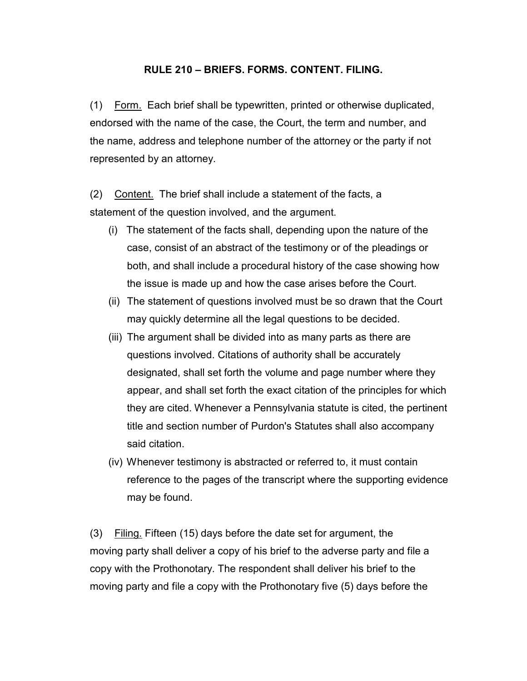### **RULE 210 – BRIEFS. FORMS. CONTENT. FILING.**

(1) Form. Each brief shall be typewritten, printed or otherwise duplicated, endorsed with the name of the case, the Court, the term and number, and the name, address and telephone number of the attorney or the party if not represented by an attorney.

(2) Content. The brief shall include a statement of the facts, a statement of the question involved, and the argument.

- (i) The statement of the facts shall, depending upon the nature of the case, consist of an abstract of the testimony or of the pleadings or both, and shall include a procedural history of the case showing how the issue is made up and how the case arises before the Court.
- (ii) The statement of questions involved must be so drawn that the Court may quickly determine all the legal questions to be decided.
- (iii) The argument shall be divided into as many parts as there are questions involved. Citations of authority shall be accurately designated, shall set forth the volume and page number where they appear, and shall set forth the exact citation of the principles for which they are cited. Whenever a Pennsylvania statute is cited, the pertinent title and section number of Purdon's Statutes shall also accompany said citation.
- (iv) Whenever testimony is abstracted or referred to, it must contain reference to the pages of the transcript where the supporting evidence may be found.

(3) Filing. Fifteen (15) days before the date set for argument, the moving party shall deliver a copy of his brief to the adverse party and file a copy with the Prothonotary. The respondent shall deliver his brief to the moving party and file a copy with the Prothonotary five (5) days before the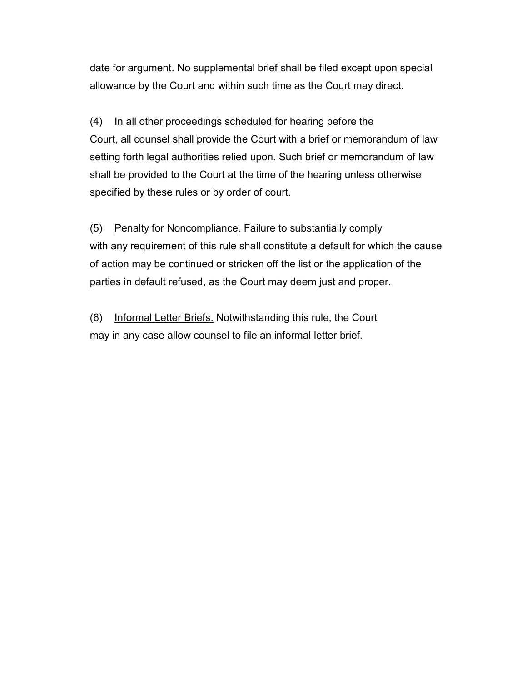date for argument. No supplemental brief shall be filed except upon special allowance by the Court and within such time as the Court may direct.

(4) In all other proceedings scheduled for hearing before the Court, all counsel shall provide the Court with a brief or memorandum of law setting forth legal authorities relied upon. Such brief or memorandum of law shall be provided to the Court at the time of the hearing unless otherwise specified by these rules or by order of court.

(5) Penalty for Noncompliance. Failure to substantially comply with any requirement of this rule shall constitute a default for which the cause of action may be continued or stricken off the list or the application of the parties in default refused, as the Court may deem just and proper.

(6) Informal Letter Briefs. Notwithstanding this rule, the Court may in any case allow counsel to file an informal letter brief.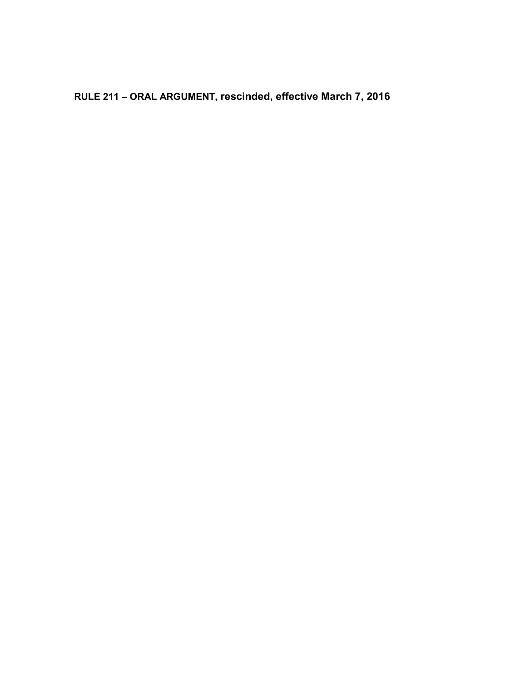**RULE 211 – ORAL ARGUMENT, rescinded, effective March 7, 2016**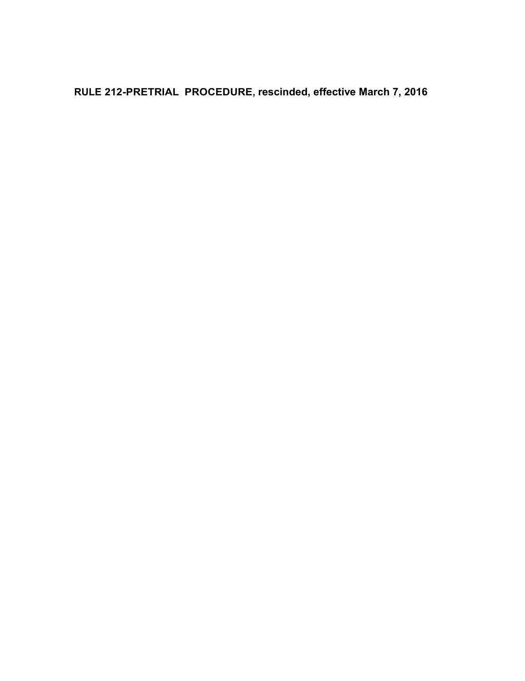**RULE 212-PRETRIAL PROCEDURE, rescinded, effective March 7, 2016**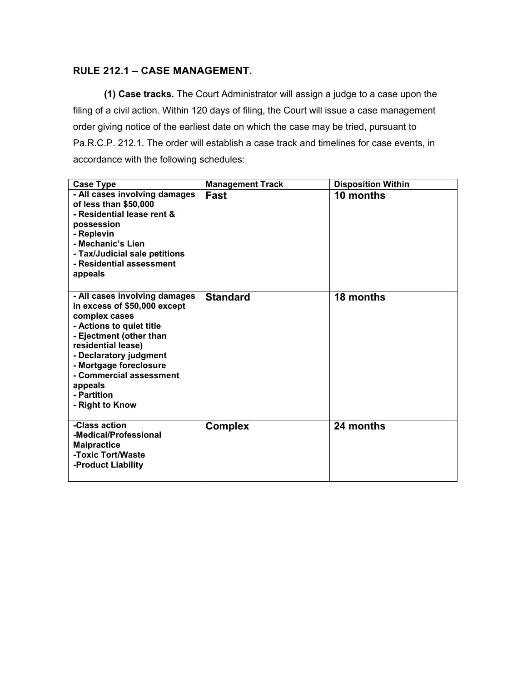### **RULE 212.1 – CASE MANAGEMENT.**

**(1) Case tracks.** The Court Administrator will assign a judge to a case upon the filing of a civil action. Within 120 days of filing, the Court will issue a case management order giving notice of the earliest date on which the case may be tried, pursuant to Pa.R.C.P. 212.1. The order will establish a case track and timelines for case events, in accordance with the following schedules:

| <b>Case Type</b>                                                                                                                                                                                                                                                                        | <b>Management Track</b> | <b>Disposition Within</b> |
|-----------------------------------------------------------------------------------------------------------------------------------------------------------------------------------------------------------------------------------------------------------------------------------------|-------------------------|---------------------------|
| - All cases involving damages<br>of less than \$50,000<br>- Residential lease rent &<br>possession<br>- Replevin<br>- Mechanic's Lien<br>- Tax/Judicial sale petitions<br>- Residential assessment<br>appeals                                                                           | Fast                    | 10 months                 |
| - All cases involving damages<br>in excess of \$50,000 except<br>complex cases<br>- Actions to quiet title<br>- Ejectment (other than<br>residential lease)<br>- Declaratory judgment<br>- Mortgage foreclosure<br>- Commercial assessment<br>appeals<br>- Partition<br>- Right to Know | <b>Standard</b>         | 18 months                 |
| -Class action<br>-Medical/Professional<br><b>Malpractice</b><br>-Toxic Tort/Waste<br>-Product Liability                                                                                                                                                                                 | <b>Complex</b>          | 24 months                 |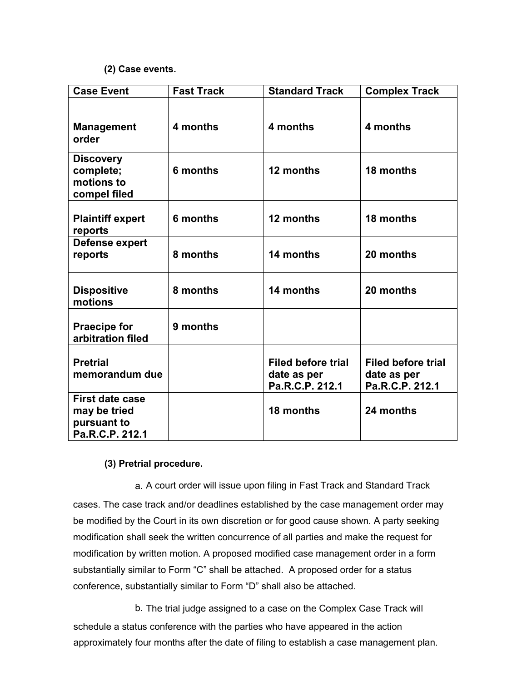#### **(2) Case events.**

| <b>Case Event</b><br><b>Fast Track</b>                                   |          | <b>Standard Track</b>                                       | <b>Complex Track</b>                                        |  |
|--------------------------------------------------------------------------|----------|-------------------------------------------------------------|-------------------------------------------------------------|--|
| <b>Management</b><br>order                                               | 4 months | 4 months                                                    | 4 months                                                    |  |
| <b>Discovery</b><br>complete;<br>motions to<br>compel filed              | 6 months | 12 months                                                   | 18 months                                                   |  |
| <b>Plaintiff expert</b><br>reports                                       | 6 months | 12 months                                                   | 18 months                                                   |  |
| Defense expert<br>reports                                                | 8 months | 14 months                                                   | 20 months                                                   |  |
| <b>Dispositive</b><br>motions                                            | 8 months | 14 months                                                   | 20 months                                                   |  |
| <b>Praecipe for</b><br>arbitration filed                                 | 9 months |                                                             |                                                             |  |
| <b>Pretrial</b><br>memorandum due                                        |          | <b>Filed before trial</b><br>date as per<br>Pa.R.C.P. 212.1 | <b>Filed before trial</b><br>date as per<br>Pa.R.C.P. 212.1 |  |
| <b>First date case</b><br>may be tried<br>pursuant to<br>Pa.R.C.P. 212.1 |          | 18 months                                                   | 24 months                                                   |  |

## **(3) Pretrial procedure.**

a. A court order will issue upon filing in Fast Track and Standard Track

cases. The case track and/or deadlines established by the case management order may be modified by the Court in its own discretion or for good cause shown. A party seeking modification shall seek the written concurrence of all parties and make the request for modification by written motion. A proposed modified case management order in a form substantially similar to Form "C" shall be attached. A proposed order for a status conference, substantially similar to Form "D" shall also be attached.

b. The trial judge assigned to a case on the Complex Case Track will schedule a status conference with the parties who have appeared in the action approximately four months after the date of filing to establish a case management plan.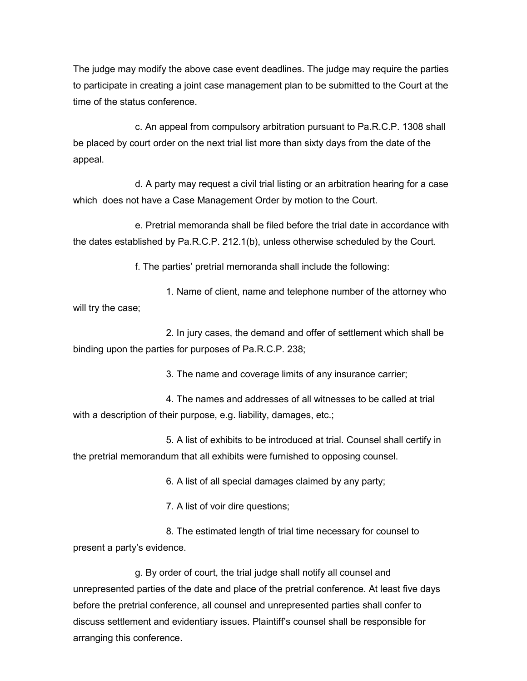The judge may modify the above case event deadlines. The judge may require the parties to participate in creating a joint case management plan to be submitted to the Court at the time of the status conference.

c. An appeal from compulsory arbitration pursuant to Pa.R.C.P. 1308 shall be placed by court order on the next trial list more than sixty days from the date of the appeal.

d. A party may request a civil trial listing or an arbitration hearing for a case which does not have a Case Management Order by motion to the Court.

e. Pretrial memoranda shall be filed before the trial date in accordance with the dates established by Pa.R.C.P. 212.1(b), unless otherwise scheduled by the Court.

f. The parties' pretrial memoranda shall include the following:

1. Name of client, name and telephone number of the attorney who will try the case;

2. In jury cases, the demand and offer of settlement which shall be binding upon the parties for purposes of Pa.R.C.P. 238;

3. The name and coverage limits of any insurance carrier;

4. The names and addresses of all witnesses to be called at trial with a description of their purpose, e.g. liability, damages, etc.;

5. A list of exhibits to be introduced at trial. Counsel shall certify in the pretrial memorandum that all exhibits were furnished to opposing counsel.

6. A list of all special damages claimed by any party;

7. A list of voir dire questions;

8. The estimated length of trial time necessary for counsel to present a party's evidence.

g. By order of court, the trial judge shall notify all counsel and unrepresented parties of the date and place of the pretrial conference. At least five days before the pretrial conference, all counsel and unrepresented parties shall confer to discuss settlement and evidentiary issues. Plaintiff's counsel shall be responsible for arranging this conference.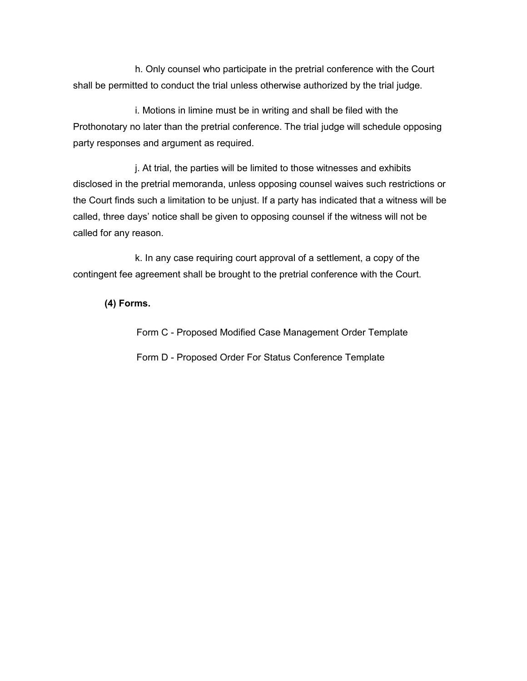h. Only counsel who participate in the pretrial conference with the Court shall be permitted to conduct the trial unless otherwise authorized by the trial judge.

i. Motions in limine must be in writing and shall be filed with the Prothonotary no later than the pretrial conference. The trial judge will schedule opposing party responses and argument as required.

j. At trial, the parties will be limited to those witnesses and exhibits disclosed in the pretrial memoranda, unless opposing counsel waives such restrictions or the Court finds such a limitation to be unjust. If a party has indicated that a witness will be called, three days' notice shall be given to opposing counsel if the witness will not be called for any reason.

k. In any case requiring court approval of a settlement, a copy of the contingent fee agreement shall be brought to the pretrial conference with the Court.

**(4) Forms.** 

Form C - Proposed Modified Case Management Order Template Form D - Proposed Order For Status Conference Template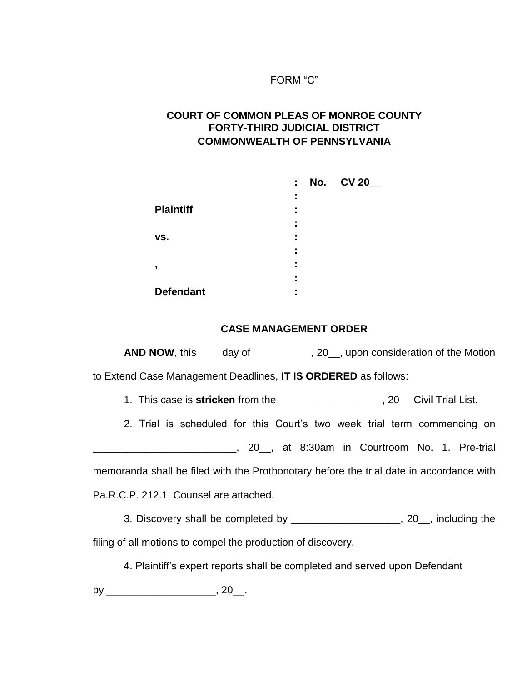## FORM "C"

# **COURT OF COMMON PLEAS OF MONROE COUNTY FORTY-THIRD JUDICIAL DISTRICT COMMONWEALTH OF PENNSYLVANIA**

|                  | t.                  | No. CV 20 |
|------------------|---------------------|-----------|
|                  | ٠<br>$\blacksquare$ |           |
| <b>Plaintiff</b> | $\blacksquare$      |           |
|                  | ٠<br>$\blacksquare$ |           |
| VS.              | ٠<br>$\blacksquare$ |           |
|                  | ٠<br>$\blacksquare$ |           |
| ,                | ٠<br>$\blacksquare$ |           |
|                  | ٠<br>$\blacksquare$ |           |
| <b>Defendant</b> | ٠<br>$\blacksquare$ |           |
|                  |                     |           |

### **CASE MANAGEMENT ORDER**

| <b>AND NOW, this day of</b>                                                             |  |  | , 20 , upon consideration of the Motion |  |
|-----------------------------------------------------------------------------------------|--|--|-----------------------------------------|--|
| to Extend Case Management Deadlines, IT IS ORDERED as follows:                          |  |  |                                         |  |
| 1. This case is stricken from the _______________________, 20__ Civil Trial List.       |  |  |                                         |  |
| 2. Trial is scheduled for this Court's two week trial term commencing on                |  |  |                                         |  |
|                                                                                         |  |  |                                         |  |
| memoranda shall be filed with the Prothonotary before the trial date in accordance with |  |  |                                         |  |
| Pa.R.C.P. 212.1. Counsel are attached.                                                  |  |  |                                         |  |
| 3. Discovery shall be completed by ______________________, 20_, including the           |  |  |                                         |  |
| filing of all motions to compel the production of discovery.                            |  |  |                                         |  |

4. Plaintiff's expert reports shall be completed and served upon Defendant

by \_\_\_\_\_\_\_\_\_\_\_\_\_\_\_\_\_\_\_\_\_\_\_\_\_\_\_\_, 20\_\_\_.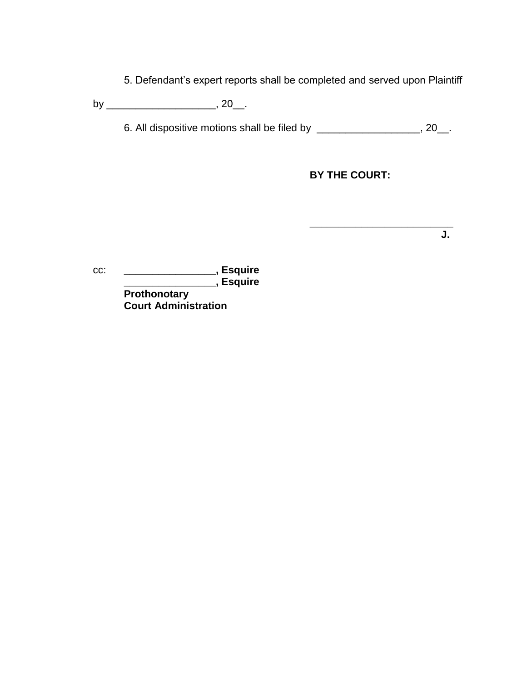5. Defendant's expert reports shall be completed and served upon Plaintiff

by \_\_\_\_\_\_\_\_\_\_\_\_\_\_\_\_\_\_\_, 20\_\_.

6. All dispositive motions shall be filed by \_\_\_\_\_\_\_\_\_\_\_\_\_\_\_\_\_\_, 20\_\_.

**BY THE COURT:** 

**\_\_\_\_\_\_\_\_\_\_\_\_\_\_\_\_\_\_\_\_\_\_\_\_\_ J.**

cc: **\_\_\_\_\_\_\_\_\_\_\_\_\_\_\_\_, Esquire \_\_\_\_\_\_\_\_\_\_\_\_\_\_\_\_, Esquire Prothonotary Court Administration**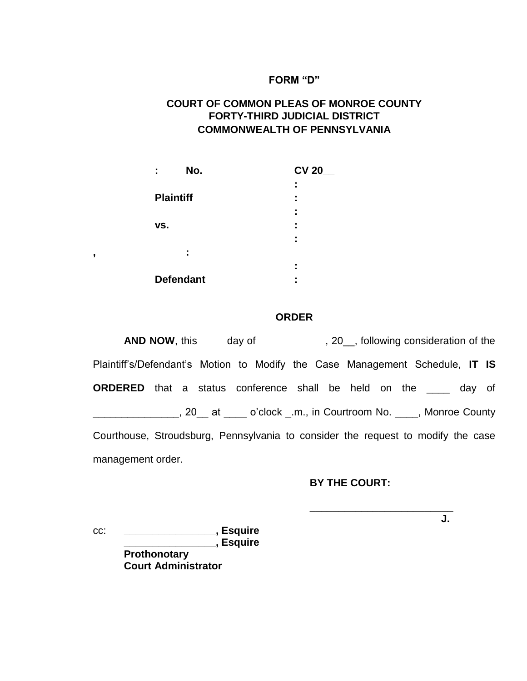#### **FORM "D"**

## **COURT OF COMMON PLEAS OF MONROE COUNTY FORTY-THIRD JUDICIAL DISTRICT COMMONWEALTH OF PENNSYLVANIA**

|   | No.<br>÷         | <b>CV 20_</b>       |
|---|------------------|---------------------|
|   |                  | $\blacksquare$      |
|   | <b>Plaintiff</b> | ٠                   |
|   |                  | ٠                   |
|   | VS.              | ٠<br>$\blacksquare$ |
|   |                  | $\blacksquare$      |
| , | ÷                |                     |
|   |                  | ٠<br>٠              |
|   | <b>Defendant</b> | ٠                   |
|   |                  |                     |

#### **ORDER**

**AND NOW**, this day of , 20<sub>\_\_</sub>, following consideration of the Plaintiff's/Defendant's Motion to Modify the Case Management Schedule, **IT IS ORDERED** that a status conference shall be held on the \_\_\_\_ day of \_\_\_\_\_\_\_\_\_\_\_\_\_\_\_, 20\_\_ at \_\_\_\_ o'clock \_.m., in Courtroom No. \_\_\_\_, Monroe County Courthouse, Stroudsburg, Pennsylvania to consider the request to modify the case management order.

## **BY THE COURT:**

**\_\_\_\_\_\_\_\_\_\_\_\_\_\_\_\_\_\_\_\_\_\_\_\_\_** 

**J.**

cc: **\_\_\_\_\_\_\_\_\_\_\_\_\_\_\_\_, Esquire \_\_\_\_\_\_\_\_\_\_\_\_\_\_\_\_, Esquire Prothonotary Court Administrator**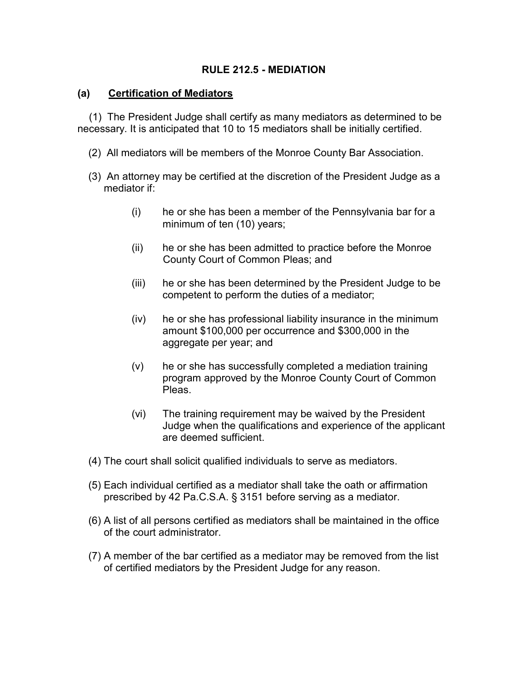## **RULE 212.5 - MEDIATION**

## **(a) Certification of Mediators**

(1) The President Judge shall certify as many mediators as determined to be necessary. It is anticipated that 10 to 15 mediators shall be initially certified.

- (2) All mediators will be members of the Monroe County Bar Association.
- (3) An attorney may be certified at the discretion of the President Judge as a mediator if:
	- (i) he or she has been a member of the Pennsylvania bar for a minimum of ten (10) years;
	- (ii) he or she has been admitted to practice before the Monroe County Court of Common Pleas; and
	- (iii) he or she has been determined by the President Judge to be competent to perform the duties of a mediator;
	- (iv) he or she has professional liability insurance in the minimum amount \$100,000 per occurrence and \$300,000 in the aggregate per year; and
	- (v) he or she has successfully completed a mediation training program approved by the Monroe County Court of Common Pleas.
	- (vi) The training requirement may be waived by the President Judge when the qualifications and experience of the applicant are deemed sufficient.
- (4) The court shall solicit qualified individuals to serve as mediators.
- (5) Each individual certified as a mediator shall take the oath or affirmation prescribed by 42 Pa.C.S.A. § 3151 before serving as a mediator.
- (6) A list of all persons certified as mediators shall be maintained in the office of the court administrator.
- (7) A member of the bar certified as a mediator may be removed from the list of certified mediators by the President Judge for any reason.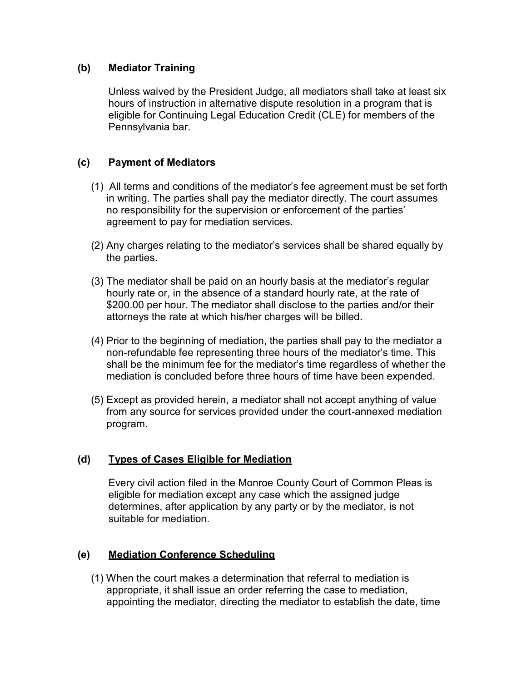## **(b) Mediator Training**

Unless waived by the President Judge, all mediators shall take at least six hours of instruction in alternative dispute resolution in a program that is eligible for Continuing Legal Education Credit (CLE) for members of the Pennsylvania bar.

# **(c) Payment of Mediators**

- (1) All terms and conditions of the mediator's fee agreement must be set forth in writing. The parties shall pay the mediator directly. The court assumes no responsibility for the supervision or enforcement of the parties' agreement to pay for mediation services.
- (2) Any charges relating to the mediator's services shall be shared equally by the parties.
- (3) The mediator shall be paid on an hourly basis at the mediator's regular hourly rate or, in the absence of a standard hourly rate, at the rate of \$200.00 per hour. The mediator shall disclose to the parties and/or their attorneys the rate at which his/her charges will be billed.
- (4) Prior to the beginning of mediation, the parties shall pay to the mediator a non-refundable fee representing three hours of the mediator's time. This shall be the minimum fee for the mediator's time regardless of whether the mediation is concluded before three hours of time have been expended.
- (5) Except as provided herein, a mediator shall not accept anything of value from any source for services provided under the court-annexed mediation program.

## **(d) Types of Cases Eligible for Mediation**

Every civil action filed in the Monroe County Court of Common Pleas is eligible for mediation except any case which the assigned judge determines, after application by any party or by the mediator, is not suitable for mediation.

## **(e) Mediation Conference Scheduling**

(1) When the court makes a determination that referral to mediation is appropriate, it shall issue an order referring the case to mediation, appointing the mediator, directing the mediator to establish the date, time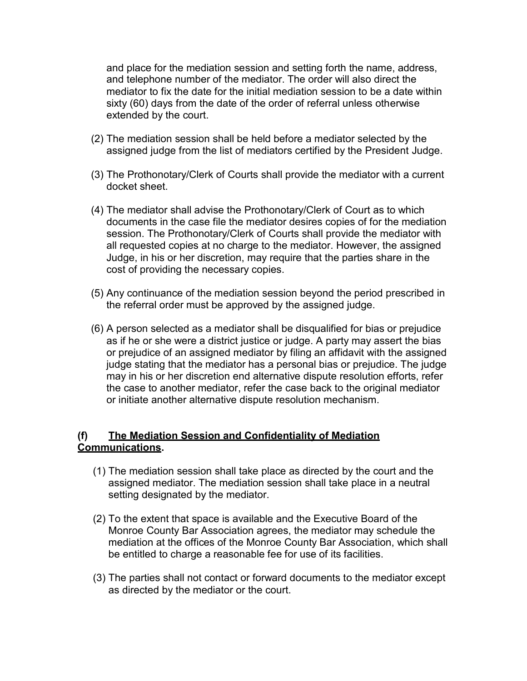and place for the mediation session and setting forth the name, address, and telephone number of the mediator. The order will also direct the mediator to fix the date for the initial mediation session to be a date within sixty (60) days from the date of the order of referral unless otherwise extended by the court.

- (2) The mediation session shall be held before a mediator selected by the assigned judge from the list of mediators certified by the President Judge.
- (3) The Prothonotary/Clerk of Courts shall provide the mediator with a current docket sheet.
- (4) The mediator shall advise the Prothonotary/Clerk of Court as to which documents in the case file the mediator desires copies of for the mediation session. The Prothonotary/Clerk of Courts shall provide the mediator with all requested copies at no charge to the mediator. However, the assigned Judge, in his or her discretion, may require that the parties share in the cost of providing the necessary copies.
- (5) Any continuance of the mediation session beyond the period prescribed in the referral order must be approved by the assigned judge.
- (6) A person selected as a mediator shall be disqualified for bias or prejudice as if he or she were a district justice or judge. A party may assert the bias or prejudice of an assigned mediator by filing an affidavit with the assigned judge stating that the mediator has a personal bias or prejudice. The judge may in his or her discretion end alternative dispute resolution efforts, refer the case to another mediator, refer the case back to the original mediator or initiate another alternative dispute resolution mechanism.

## **(f) The Mediation Session and Confidentiality of Mediation Communications.**

- (1) The mediation session shall take place as directed by the court and the assigned mediator. The mediation session shall take place in a neutral setting designated by the mediator.
- (2) To the extent that space is available and the Executive Board of the Monroe County Bar Association agrees, the mediator may schedule the mediation at the offices of the Monroe County Bar Association, which shall be entitled to charge a reasonable fee for use of its facilities.
- (3) The parties shall not contact or forward documents to the mediator except as directed by the mediator or the court.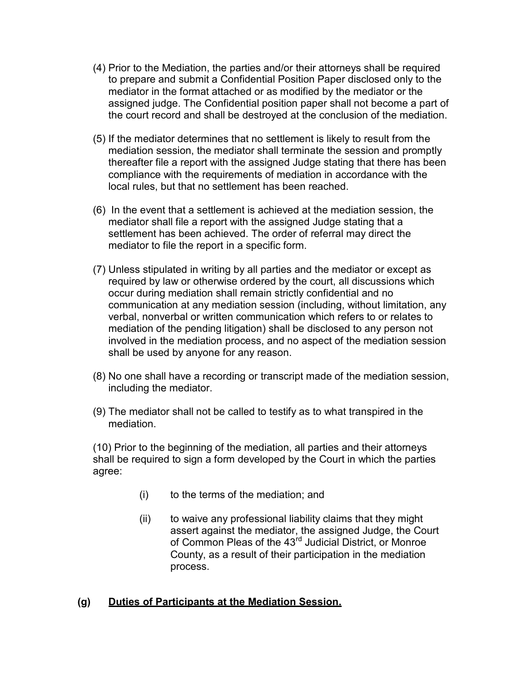- (4) Prior to the Mediation, the parties and/or their attorneys shall be required to prepare and submit a Confidential Position Paper disclosed only to the mediator in the format attached or as modified by the mediator or the assigned judge. The Confidential position paper shall not become a part of the court record and shall be destroyed at the conclusion of the mediation.
- (5) If the mediator determines that no settlement is likely to result from the mediation session, the mediator shall terminate the session and promptly thereafter file a report with the assigned Judge stating that there has been compliance with the requirements of mediation in accordance with the local rules, but that no settlement has been reached.
- (6) In the event that a settlement is achieved at the mediation session, the mediator shall file a report with the assigned Judge stating that a settlement has been achieved. The order of referral may direct the mediator to file the report in a specific form.
- (7) Unless stipulated in writing by all parties and the mediator or except as required by law or otherwise ordered by the court, all discussions which occur during mediation shall remain strictly confidential and no communication at any mediation session (including, without limitation, any verbal, nonverbal or written communication which refers to or relates to mediation of the pending litigation) shall be disclosed to any person not involved in the mediation process, and no aspect of the mediation session shall be used by anyone for any reason.
- (8) No one shall have a recording or transcript made of the mediation session, including the mediator.
- (9) The mediator shall not be called to testify as to what transpired in the mediation.

(10) Prior to the beginning of the mediation, all parties and their attorneys shall be required to sign a form developed by the Court in which the parties agree:

- (i) to the terms of the mediation; and
- (ii) to waive any professional liability claims that they might assert against the mediator, the assigned Judge, the Court of Common Pleas of the 43<sup>rd</sup> Judicial District, or Monroe County, as a result of their participation in the mediation process.

## **(g) Duties of Participants at the Mediation Session.**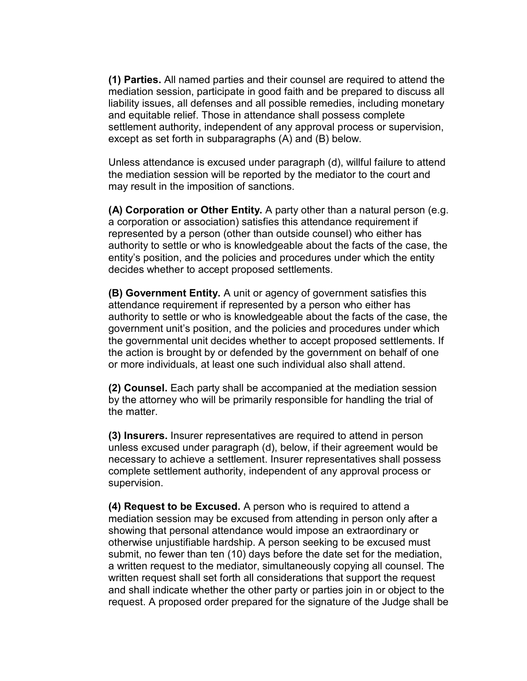**(1) Parties.** All named parties and their counsel are required to attend the mediation session, participate in good faith and be prepared to discuss all liability issues, all defenses and all possible remedies, including monetary and equitable relief. Those in attendance shall possess complete settlement authority, independent of any approval process or supervision, except as set forth in subparagraphs (A) and (B) below.

Unless attendance is excused under paragraph (d), willful failure to attend the mediation session will be reported by the mediator to the court and may result in the imposition of sanctions.

**(A) Corporation or Other Entity.** A party other than a natural person (e.g. a corporation or association) satisfies this attendance requirement if represented by a person (other than outside counsel) who either has authority to settle or who is knowledgeable about the facts of the case, the entity's position, and the policies and procedures under which the entity decides whether to accept proposed settlements.

**(B) Government Entity.** A unit or agency of government satisfies this attendance requirement if represented by a person who either has authority to settle or who is knowledgeable about the facts of the case, the government unit's position, and the policies and procedures under which the governmental unit decides whether to accept proposed settlements. If the action is brought by or defended by the government on behalf of one or more individuals, at least one such individual also shall attend.

**(2) Counsel.** Each party shall be accompanied at the mediation session by the attorney who will be primarily responsible for handling the trial of the matter.

**(3) Insurers.** Insurer representatives are required to attend in person unless excused under paragraph (d), below, if their agreement would be necessary to achieve a settlement. Insurer representatives shall possess complete settlement authority, independent of any approval process or supervision.

**(4) Request to be Excused.** A person who is required to attend a mediation session may be excused from attending in person only after a showing that personal attendance would impose an extraordinary or otherwise unjustifiable hardship. A person seeking to be excused must submit, no fewer than ten (10) days before the date set for the mediation, a written request to the mediator, simultaneously copying all counsel. The written request shall set forth all considerations that support the request and shall indicate whether the other party or parties join in or object to the request. A proposed order prepared for the signature of the Judge shall be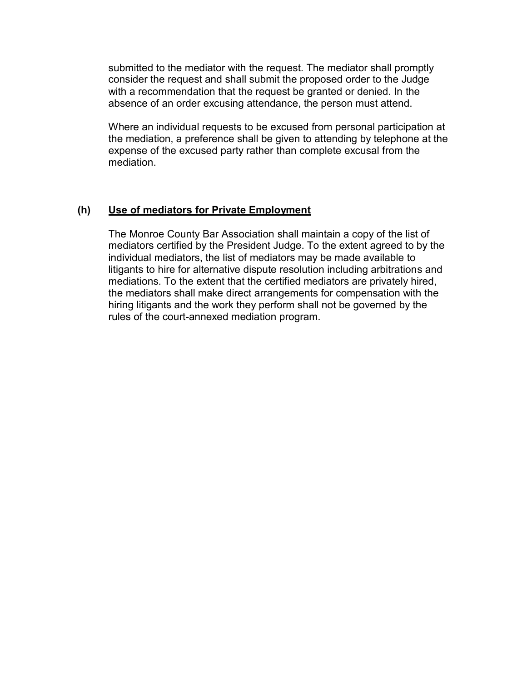submitted to the mediator with the request. The mediator shall promptly consider the request and shall submit the proposed order to the Judge with a recommendation that the request be granted or denied. In the absence of an order excusing attendance, the person must attend.

Where an individual requests to be excused from personal participation at the mediation, a preference shall be given to attending by telephone at the expense of the excused party rather than complete excusal from the mediation.

## **(h) Use of mediators for Private Employment**

The Monroe County Bar Association shall maintain a copy of the list of mediators certified by the President Judge. To the extent agreed to by the individual mediators, the list of mediators may be made available to litigants to hire for alternative dispute resolution including arbitrations and mediations. To the extent that the certified mediators are privately hired, the mediators shall make direct arrangements for compensation with the hiring litigants and the work they perform shall not be governed by the rules of the court-annexed mediation program.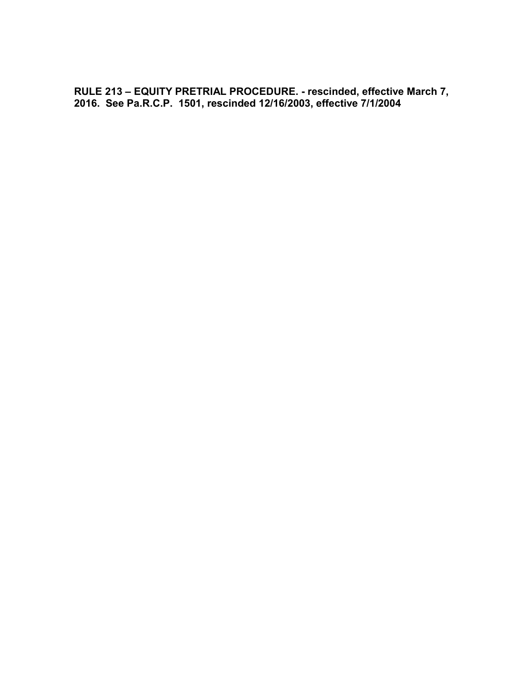**RULE 213 – EQUITY PRETRIAL PROCEDURE. - rescinded, effective March 7, 2016. See Pa.R.C.P. 1501, rescinded 12/16/2003, effective 7/1/2004**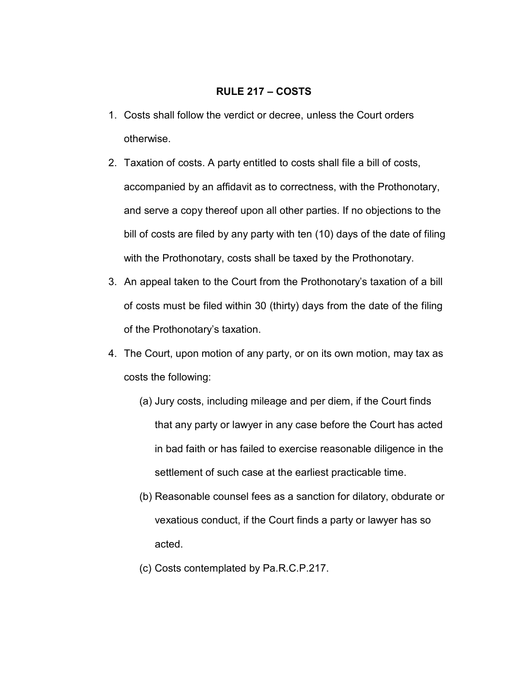### **RULE 217 – COSTS**

- 1. Costs shall follow the verdict or decree, unless the Court orders otherwise.
- 2. Taxation of costs. A party entitled to costs shall file a bill of costs, accompanied by an affidavit as to correctness, with the Prothonotary, and serve a copy thereof upon all other parties. If no objections to the bill of costs are filed by any party with ten (10) days of the date of filing with the Prothonotary, costs shall be taxed by the Prothonotary.
- 3. An appeal taken to the Court from the Prothonotary's taxation of a bill of costs must be filed within 30 (thirty) days from the date of the filing of the Prothonotary's taxation.
- 4. The Court, upon motion of any party, or on its own motion, may tax as costs the following:
	- (a) Jury costs, including mileage and per diem, if the Court finds that any party or lawyer in any case before the Court has acted in bad faith or has failed to exercise reasonable diligence in the settlement of such case at the earliest practicable time.
	- (b) Reasonable counsel fees as a sanction for dilatory, obdurate or vexatious conduct, if the Court finds a party or lawyer has so acted.
	- (c) Costs contemplated by Pa.R.C.P.217.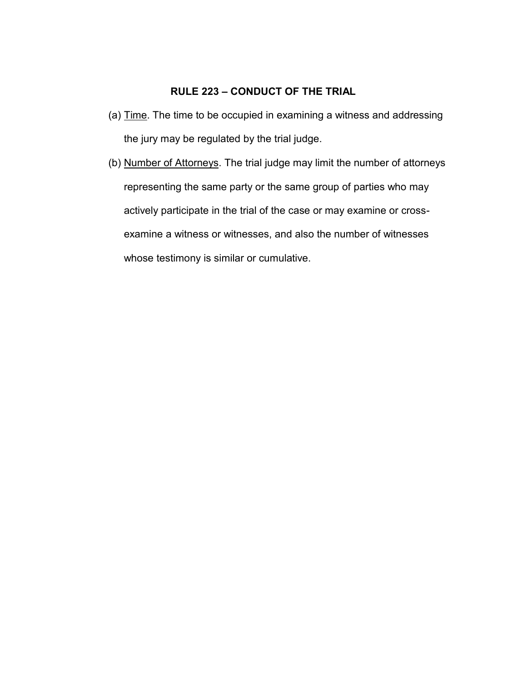### **RULE 223 – CONDUCT OF THE TRIAL**

- (a) Time. The time to be occupied in examining a witness and addressing the jury may be regulated by the trial judge.
- (b) Number of Attorneys. The trial judge may limit the number of attorneys representing the same party or the same group of parties who may actively participate in the trial of the case or may examine or crossexamine a witness or witnesses, and also the number of witnesses whose testimony is similar or cumulative.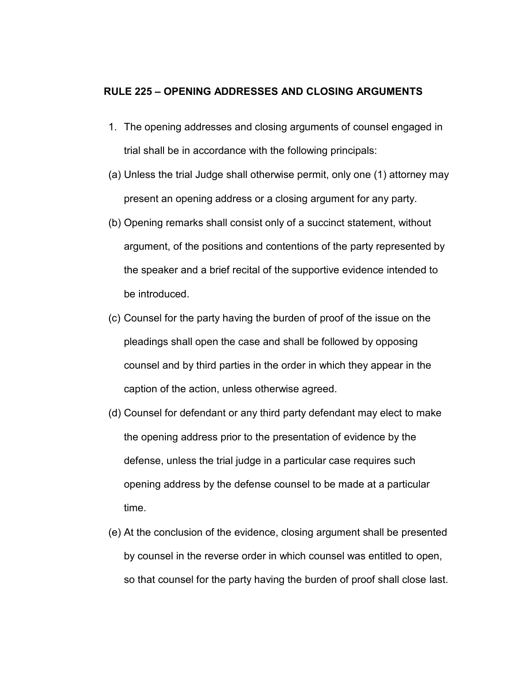#### **RULE 225 – OPENING ADDRESSES AND CLOSING ARGUMENTS**

- 1. The opening addresses and closing arguments of counsel engaged in trial shall be in accordance with the following principals:
- (a) Unless the trial Judge shall otherwise permit, only one (1) attorney may present an opening address or a closing argument for any party.
- (b) Opening remarks shall consist only of a succinct statement, without argument, of the positions and contentions of the party represented by the speaker and a brief recital of the supportive evidence intended to be introduced.
- (c) Counsel for the party having the burden of proof of the issue on the pleadings shall open the case and shall be followed by opposing counsel and by third parties in the order in which they appear in the caption of the action, unless otherwise agreed.
- (d) Counsel for defendant or any third party defendant may elect to make the opening address prior to the presentation of evidence by the defense, unless the trial judge in a particular case requires such opening address by the defense counsel to be made at a particular time.
- (e) At the conclusion of the evidence, closing argument shall be presented by counsel in the reverse order in which counsel was entitled to open, so that counsel for the party having the burden of proof shall close last.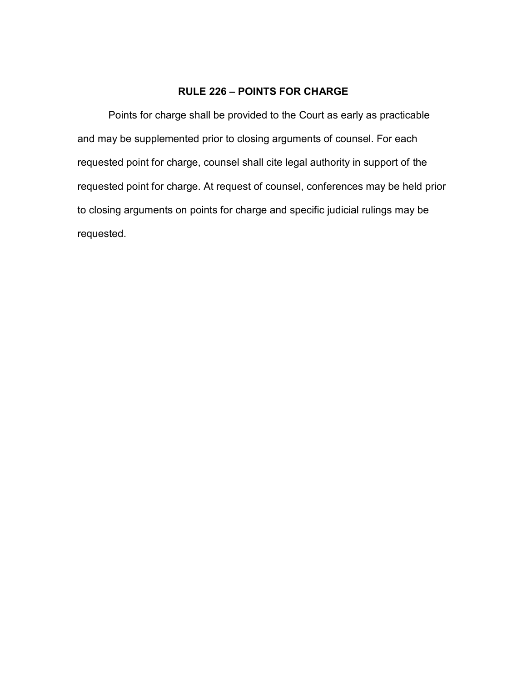### **RULE 226 – POINTS FOR CHARGE**

Points for charge shall be provided to the Court as early as practicable and may be supplemented prior to closing arguments of counsel. For each requested point for charge, counsel shall cite legal authority in support of the requested point for charge. At request of counsel, conferences may be held prior to closing arguments on points for charge and specific judicial rulings may be requested.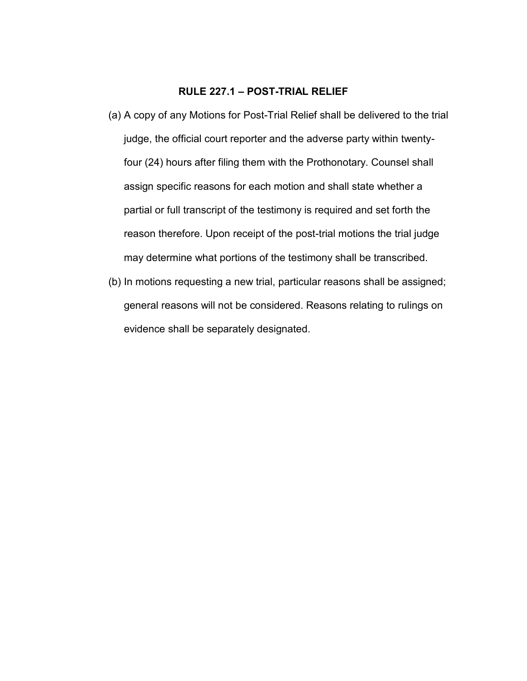#### **RULE 227.1 – POST-TRIAL RELIEF**

- (a) A copy of any Motions for Post-Trial Relief shall be delivered to the trial judge, the official court reporter and the adverse party within twentyfour (24) hours after filing them with the Prothonotary. Counsel shall assign specific reasons for each motion and shall state whether a partial or full transcript of the testimony is required and set forth the reason therefore. Upon receipt of the post-trial motions the trial judge may determine what portions of the testimony shall be transcribed.
- (b) In motions requesting a new trial, particular reasons shall be assigned; general reasons will not be considered. Reasons relating to rulings on evidence shall be separately designated.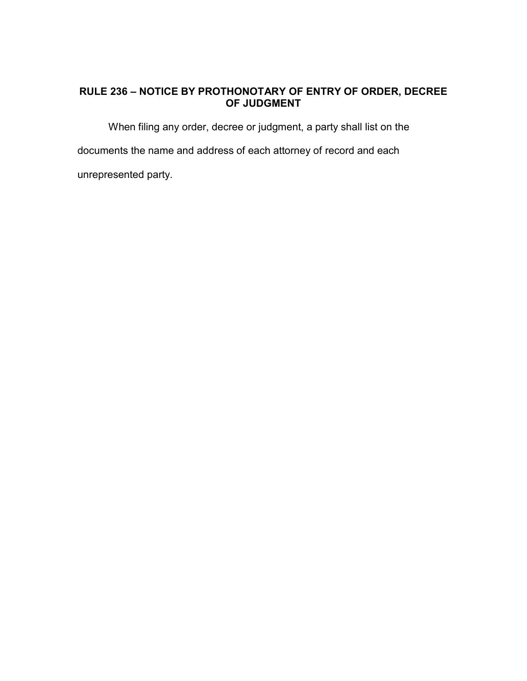## **RULE 236 – NOTICE BY PROTHONOTARY OF ENTRY OF ORDER, DECREE OF JUDGMENT**

When filing any order, decree or judgment, a party shall list on the

documents the name and address of each attorney of record and each

unrepresented party.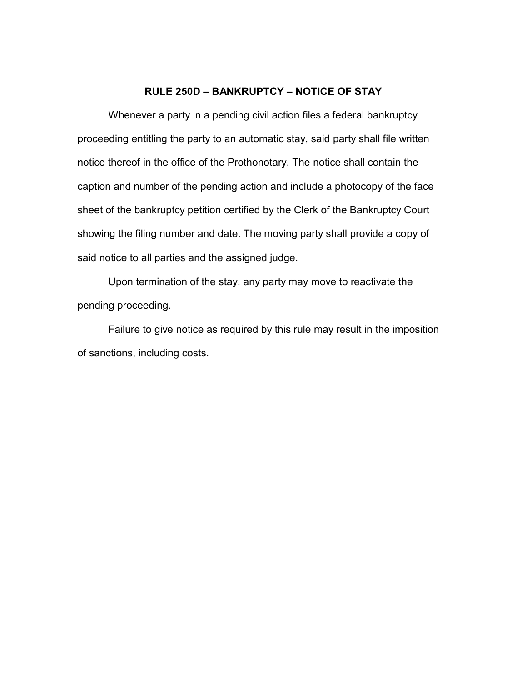#### **RULE 250D – BANKRUPTCY – NOTICE OF STAY**

Whenever a party in a pending civil action files a federal bankruptcy proceeding entitling the party to an automatic stay, said party shall file written notice thereof in the office of the Prothonotary. The notice shall contain the caption and number of the pending action and include a photocopy of the face sheet of the bankruptcy petition certified by the Clerk of the Bankruptcy Court showing the filing number and date. The moving party shall provide a copy of said notice to all parties and the assigned judge.

Upon termination of the stay, any party may move to reactivate the pending proceeding.

Failure to give notice as required by this rule may result in the imposition of sanctions, including costs.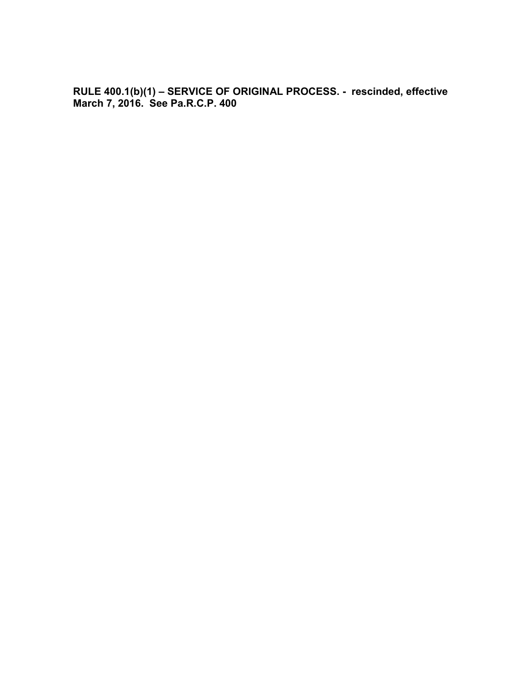**RULE 400.1(b)(1) – SERVICE OF ORIGINAL PROCESS. - rescinded, effective March 7, 2016. See Pa.R.C.P. 400**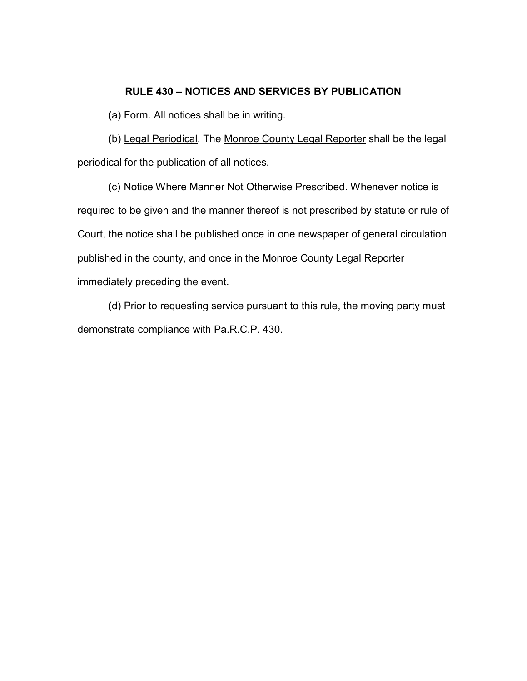### **RULE 430 – NOTICES AND SERVICES BY PUBLICATION**

(a) Form. All notices shall be in writing.

(b) Legal Periodical. The Monroe County Legal Reporter shall be the legal periodical for the publication of all notices.

(c) Notice Where Manner Not Otherwise Prescribed. Whenever notice is required to be given and the manner thereof is not prescribed by statute or rule of Court, the notice shall be published once in one newspaper of general circulation published in the county, and once in the Monroe County Legal Reporter immediately preceding the event.

(d) Prior to requesting service pursuant to this rule, the moving party must demonstrate compliance with Pa.R.C.P. 430.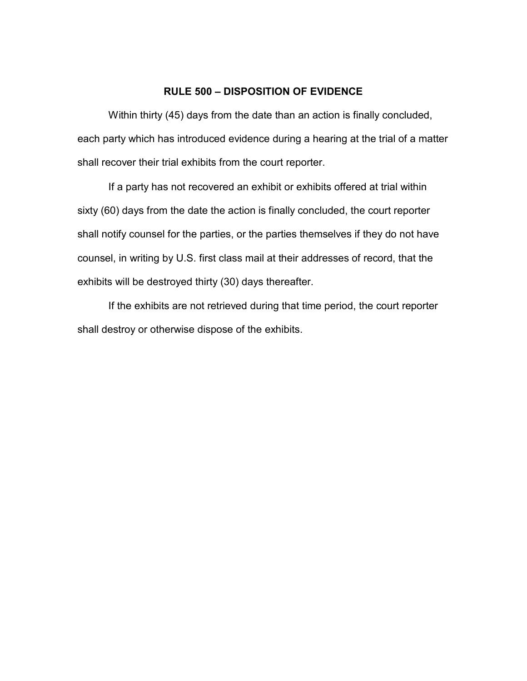#### **RULE 500 – DISPOSITION OF EVIDENCE**

Within thirty (45) days from the date than an action is finally concluded, each party which has introduced evidence during a hearing at the trial of a matter shall recover their trial exhibits from the court reporter.

If a party has not recovered an exhibit or exhibits offered at trial within sixty (60) days from the date the action is finally concluded, the court reporter shall notify counsel for the parties, or the parties themselves if they do not have counsel, in writing by U.S. first class mail at their addresses of record, that the exhibits will be destroyed thirty (30) days thereafter.

If the exhibits are not retrieved during that time period, the court reporter shall destroy or otherwise dispose of the exhibits.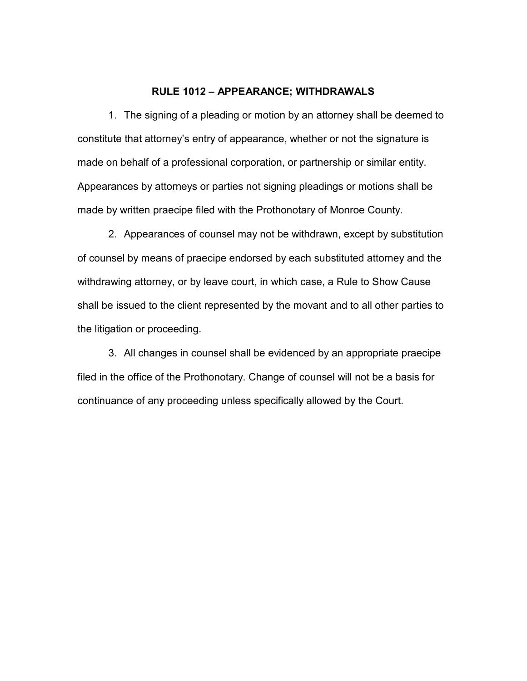#### **RULE 1012 – APPEARANCE; WITHDRAWALS**

1. The signing of a pleading or motion by an attorney shall be deemed to constitute that attorney's entry of appearance, whether or not the signature is made on behalf of a professional corporation, or partnership or similar entity. Appearances by attorneys or parties not signing pleadings or motions shall be made by written praecipe filed with the Prothonotary of Monroe County.

2. Appearances of counsel may not be withdrawn, except by substitution of counsel by means of praecipe endorsed by each substituted attorney and the withdrawing attorney, or by leave court, in which case, a Rule to Show Cause shall be issued to the client represented by the movant and to all other parties to the litigation or proceeding.

3. All changes in counsel shall be evidenced by an appropriate praecipe filed in the office of the Prothonotary. Change of counsel will not be a basis for continuance of any proceeding unless specifically allowed by the Court.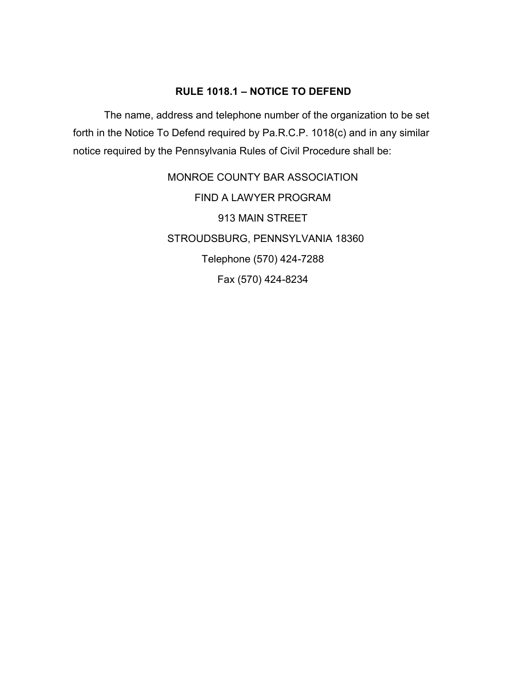## **RULE 1018.1 – NOTICE TO DEFEND**

The name, address and telephone number of the organization to be set forth in the Notice To Defend required by Pa.R.C.P. 1018(c) and in any similar notice required by the Pennsylvania Rules of Civil Procedure shall be:

> MONROE COUNTY BAR ASSOCIATION FIND A LAWYER PROGRAM 913 MAIN STREET STROUDSBURG, PENNSYLVANIA 18360 Telephone (570) 424-7288 Fax (570) 424-8234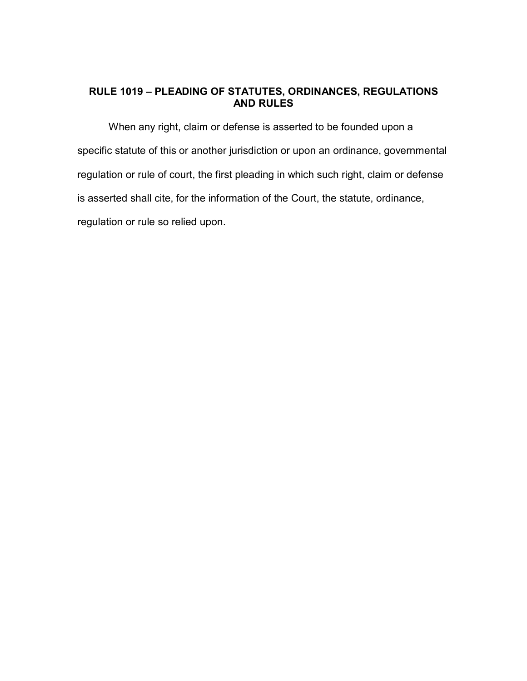# **RULE 1019 – PLEADING OF STATUTES, ORDINANCES, REGULATIONS AND RULES**

When any right, claim or defense is asserted to be founded upon a specific statute of this or another jurisdiction or upon an ordinance, governmental regulation or rule of court, the first pleading in which such right, claim or defense is asserted shall cite, for the information of the Court, the statute, ordinance, regulation or rule so relied upon.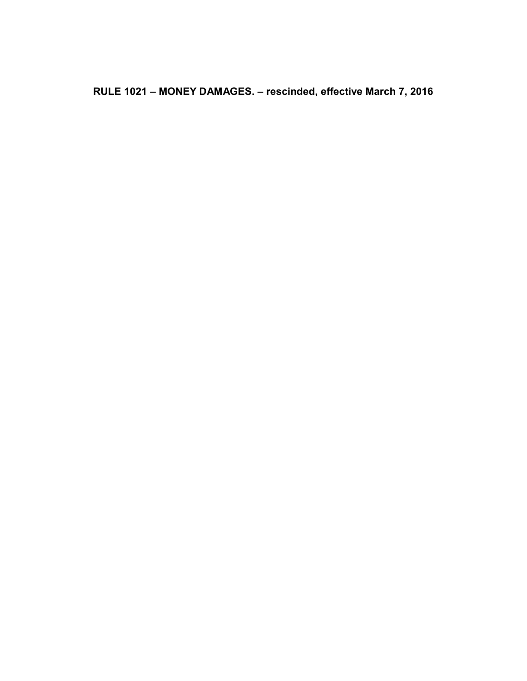**RULE 1021 – MONEY DAMAGES. – rescinded, effective March 7, 2016**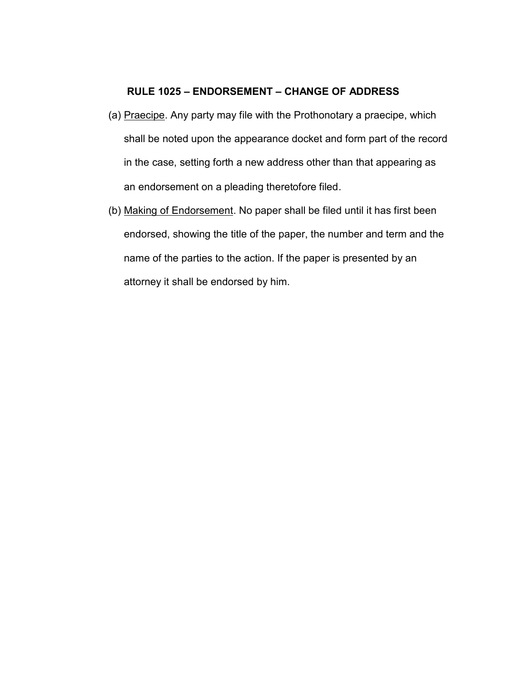## **RULE 1025 – ENDORSEMENT – CHANGE OF ADDRESS**

- (a) Praecipe. Any party may file with the Prothonotary a praecipe, which shall be noted upon the appearance docket and form part of the record in the case, setting forth a new address other than that appearing as an endorsement on a pleading theretofore filed.
- (b) Making of Endorsement. No paper shall be filed until it has first been endorsed, showing the title of the paper, the number and term and the name of the parties to the action. If the paper is presented by an attorney it shall be endorsed by him.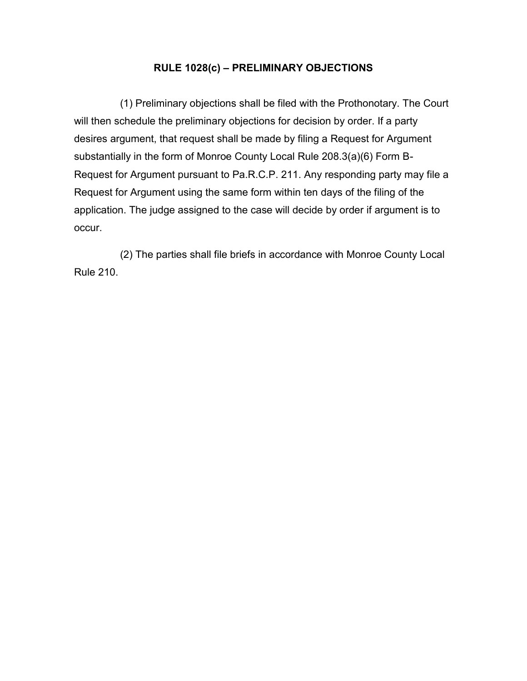# **RULE 1028(c) – PRELIMINARY OBJECTIONS**

 (1) Preliminary objections shall be filed with the Prothonotary. The Court will then schedule the preliminary objections for decision by order. If a party desires argument, that request shall be made by filing a Request for Argument substantially in the form of Monroe County Local Rule 208.3(a)(6) Form B-Request for Argument pursuant to Pa.R.C.P. 211. Any responding party may file a Request for Argument using the same form within ten days of the filing of the application. The judge assigned to the case will decide by order if argument is to occur.

 (2) The parties shall file briefs in accordance with Monroe County Local Rule 210.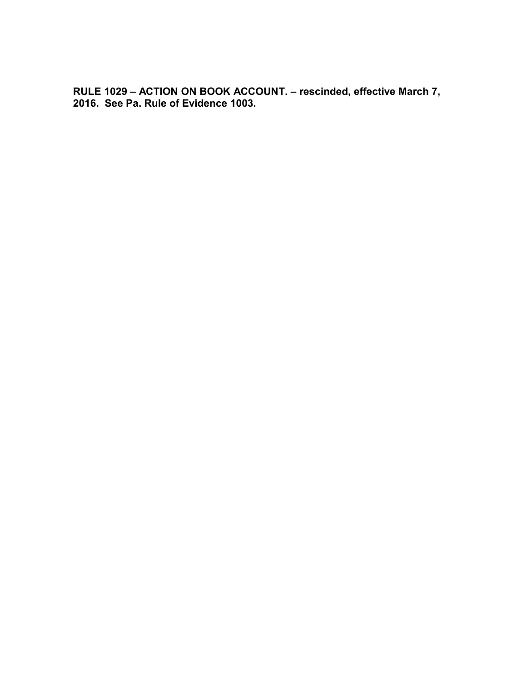**RULE 1029 – ACTION ON BOOK ACCOUNT. – rescinded, effective March 7, 2016. See Pa. Rule of Evidence 1003.**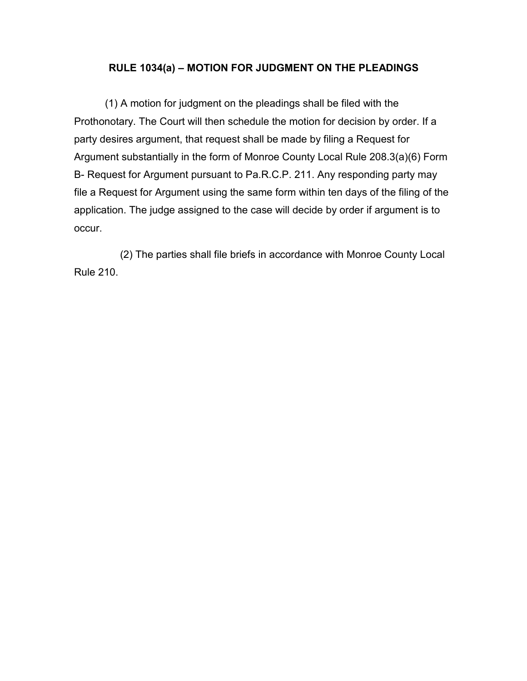## **RULE 1034(a) – MOTION FOR JUDGMENT ON THE PLEADINGS**

(1) A motion for judgment on the pleadings shall be filed with the Prothonotary. The Court will then schedule the motion for decision by order. If a party desires argument, that request shall be made by filing a Request for Argument substantially in the form of Monroe County Local Rule 208.3(a)(6) Form B- Request for Argument pursuant to Pa.R.C.P. 211. Any responding party may file a Request for Argument using the same form within ten days of the filing of the application. The judge assigned to the case will decide by order if argument is to occur.

 (2) The parties shall file briefs in accordance with Monroe County Local Rule 210.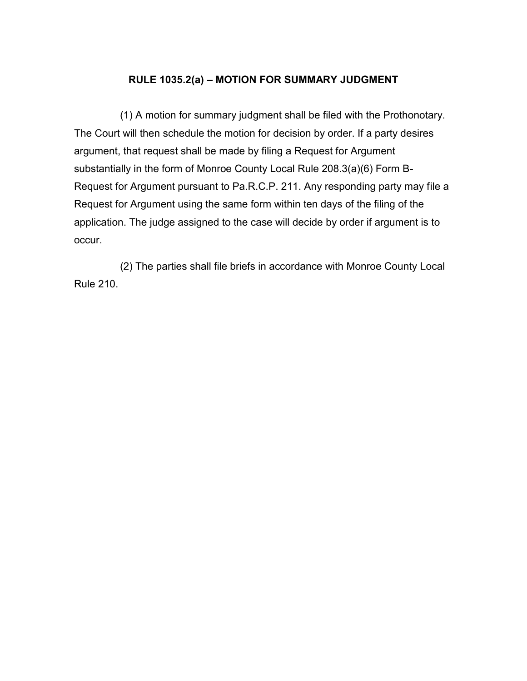#### **RULE 1035.2(a) – MOTION FOR SUMMARY JUDGMENT**

 (1) A motion for summary judgment shall be filed with the Prothonotary. The Court will then schedule the motion for decision by order. If a party desires argument, that request shall be made by filing a Request for Argument substantially in the form of Monroe County Local Rule 208.3(a)(6) Form B-Request for Argument pursuant to Pa.R.C.P. 211. Any responding party may file a Request for Argument using the same form within ten days of the filing of the application. The judge assigned to the case will decide by order if argument is to occur.

 (2) The parties shall file briefs in accordance with Monroe County Local Rule 210.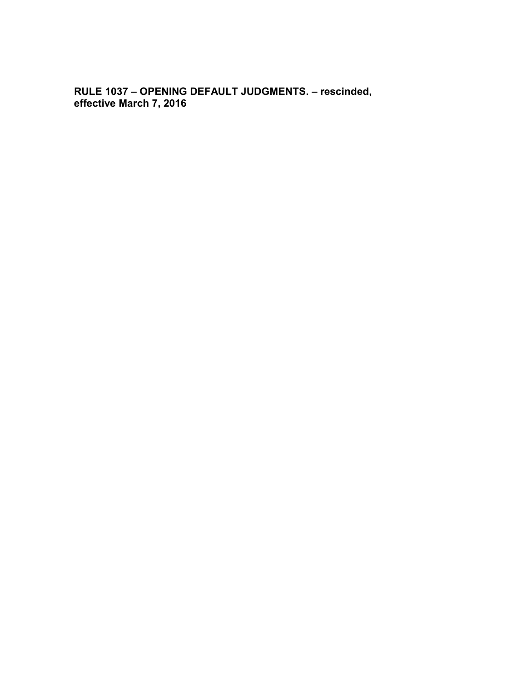**RULE 1037 – OPENING DEFAULT JUDGMENTS. – rescinded, effective March 7, 2016**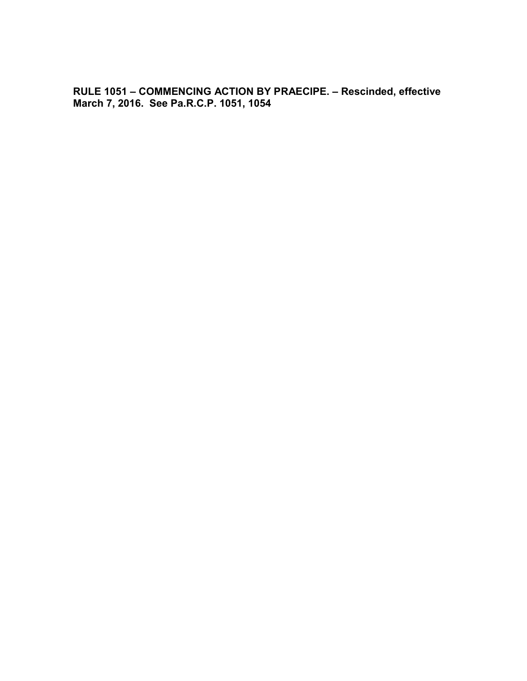**RULE 1051 – COMMENCING ACTION BY PRAECIPE. – Rescinded, effective March 7, 2016. See Pa.R.C.P. 1051, 1054**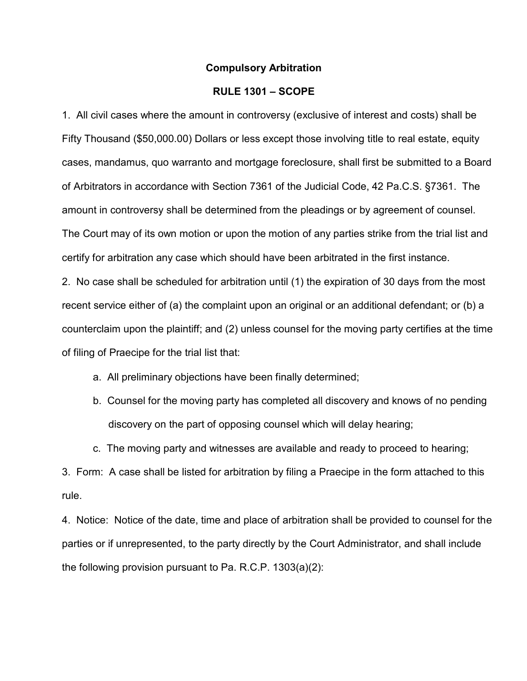#### **Compulsory Arbitration**

#### **RULE 1301 – SCOPE**

1. All civil cases where the amount in controversy (exclusive of interest and costs) shall be Fifty Thousand (\$50,000.00) Dollars or less except those involving title to real estate, equity cases, mandamus, quo warranto and mortgage foreclosure, shall first be submitted to a Board of Arbitrators in accordance with Section 7361 of the Judicial Code, 42 Pa.C.S. §7361. The amount in controversy shall be determined from the pleadings or by agreement of counsel. The Court may of its own motion or upon the motion of any parties strike from the trial list and certify for arbitration any case which should have been arbitrated in the first instance.

2. No case shall be scheduled for arbitration until (1) the expiration of 30 days from the most recent service either of (a) the complaint upon an original or an additional defendant; or (b) a counterclaim upon the plaintiff; and (2) unless counsel for the moving party certifies at the time of filing of Praecipe for the trial list that:

- a. All preliminary objections have been finally determined;
- b. Counsel for the moving party has completed all discovery and knows of no pending discovery on the part of opposing counsel which will delay hearing;

c. The moving party and witnesses are available and ready to proceed to hearing;

3. Form: A case shall be listed for arbitration by filing a Praecipe in the form attached to this rule.

4. Notice: Notice of the date, time and place of arbitration shall be provided to counsel for the parties or if unrepresented, to the party directly by the Court Administrator, and shall include the following provision pursuant to Pa. R.C.P. 1303(a)(2):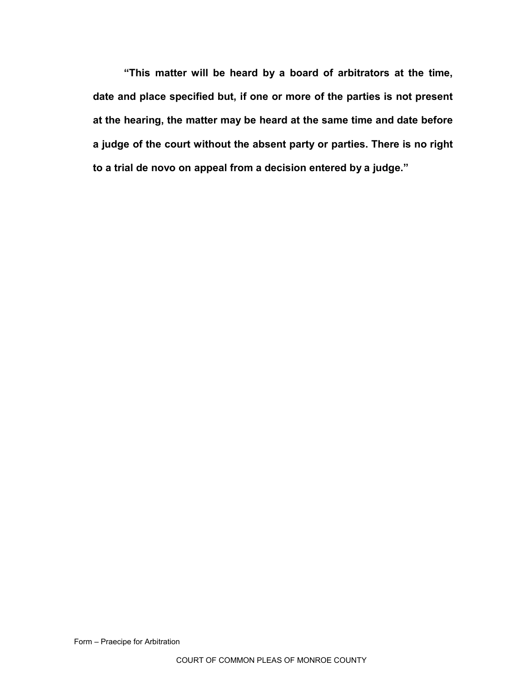**"This matter will be heard by a board of arbitrators at the time, date and place specified but, if one or more of the parties is not present at the hearing, the matter may be heard at the same time and date before a judge of the court without the absent party or parties. There is no right to a trial de novo on appeal from a decision entered by a judge."**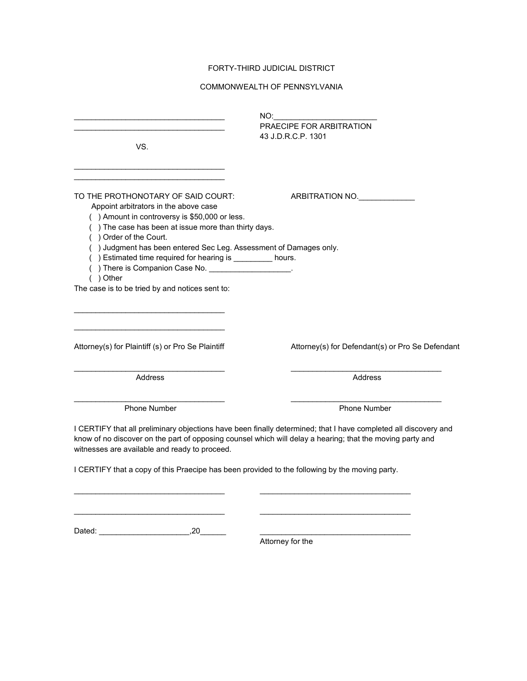#### FORTY-THIRD JUDICIAL DISTRICT

#### COMMONWEALTH OF PENNSYLVANIA

|                                                                                                                                                                                                                                             | NO:                                                                                                                                                                                                                          |
|---------------------------------------------------------------------------------------------------------------------------------------------------------------------------------------------------------------------------------------------|------------------------------------------------------------------------------------------------------------------------------------------------------------------------------------------------------------------------------|
| VS.                                                                                                                                                                                                                                         | PRAECIPE FOR ARBITRATION<br>43 J.D.R.C.P. 1301                                                                                                                                                                               |
| TO THE PROTHONOTARY OF SAID COURT:<br>Appoint arbitrators in the above case<br>() Amount in controversy is \$50,000 or less.<br>() The case has been at issue more than thirty days.<br>() Order of the Court.                              | ARBITRATION NO.                                                                                                                                                                                                              |
| () Judgment has been entered Sec Leg. Assessment of Damages only.<br>() Estimated time required for hearing is __________ hours.<br>() There is Companion Case No. __________________.<br>$( )$ Other                                       |                                                                                                                                                                                                                              |
| The case is to be tried by and notices sent to:                                                                                                                                                                                             |                                                                                                                                                                                                                              |
| Attorney(s) for Plaintiff (s) or Pro Se Plaintiff                                                                                                                                                                                           | Attorney(s) for Defendant(s) or Pro Se Defendant                                                                                                                                                                             |
| Address                                                                                                                                                                                                                                     | Address                                                                                                                                                                                                                      |
| Phone Number                                                                                                                                                                                                                                | <b>Phone Number</b>                                                                                                                                                                                                          |
| witnesses are available and ready to proceed.                                                                                                                                                                                               | I CERTIFY that all preliminary objections have been finally determined; that I have completed all discovery and<br>know of no discover on the part of opposing counsel which will delay a hearing; that the moving party and |
| I CERTIFY that a copy of this Praecipe has been provided to the following by the moving party.                                                                                                                                              |                                                                                                                                                                                                                              |
|                                                                                                                                                                                                                                             |                                                                                                                                                                                                                              |
| Dated: <u>with the set of the set of the set of the set of the set of the set of the set of the set of the set of the set of the set of the set of the set of the set of the set of the set of the set of the set of the set of </u><br>.20 | Attorney for the                                                                                                                                                                                                             |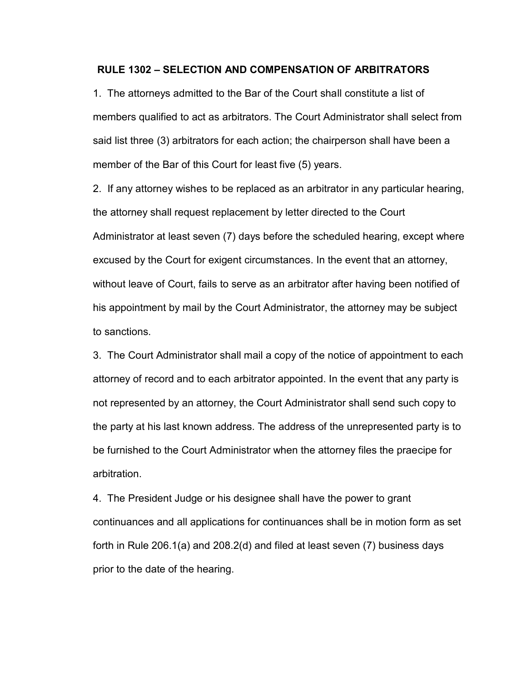#### **RULE 1302 – SELECTION AND COMPENSATION OF ARBITRATORS**

1. The attorneys admitted to the Bar of the Court shall constitute a list of members qualified to act as arbitrators. The Court Administrator shall select from said list three (3) arbitrators for each action; the chairperson shall have been a member of the Bar of this Court for least five (5) years.

2. If any attorney wishes to be replaced as an arbitrator in any particular hearing, the attorney shall request replacement by letter directed to the Court Administrator at least seven (7) days before the scheduled hearing, except where excused by the Court for exigent circumstances. In the event that an attorney, without leave of Court, fails to serve as an arbitrator after having been notified of his appointment by mail by the Court Administrator, the attorney may be subject to sanctions.

3. The Court Administrator shall mail a copy of the notice of appointment to each attorney of record and to each arbitrator appointed. In the event that any party is not represented by an attorney, the Court Administrator shall send such copy to the party at his last known address. The address of the unrepresented party is to be furnished to the Court Administrator when the attorney files the praecipe for arbitration.

4. The President Judge or his designee shall have the power to grant continuances and all applications for continuances shall be in motion form as set forth in Rule 206.1(a) and 208.2(d) and filed at least seven (7) business days prior to the date of the hearing.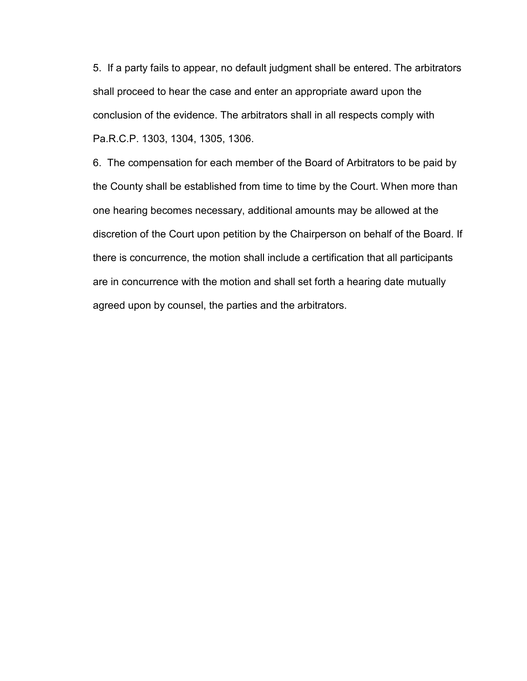5. If a party fails to appear, no default judgment shall be entered. The arbitrators shall proceed to hear the case and enter an appropriate award upon the conclusion of the evidence. The arbitrators shall in all respects comply with Pa.R.C.P. 1303, 1304, 1305, 1306.

6. The compensation for each member of the Board of Arbitrators to be paid by the County shall be established from time to time by the Court. When more than one hearing becomes necessary, additional amounts may be allowed at the discretion of the Court upon petition by the Chairperson on behalf of the Board. If there is concurrence, the motion shall include a certification that all participants are in concurrence with the motion and shall set forth a hearing date mutually agreed upon by counsel, the parties and the arbitrators.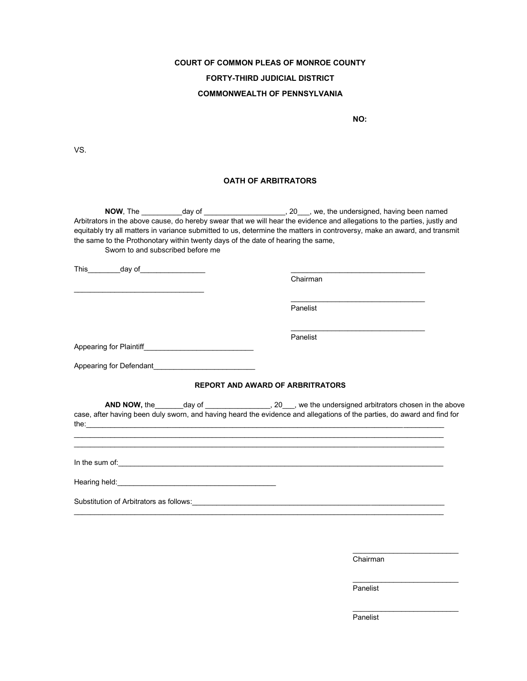# **COURT OF COMMON PLEAS OF MONROE COUNTY FORTY-THIRD JUDICIAL DISTRICT COMMONWEALTH OF PENNSYLVANIA**

**NO:**  $\mathbf{N}$ 

VS.

#### **OATH OF ARBITRATORS**

| the same to the Prothonotary within twenty days of the date of hearing the same,<br>Sworn to and subscribed before me                                                                                                                  | Arbitrators in the above cause, do hereby swear that we will hear the evidence and allegations to the parties, justly and<br>equitably try all matters in variance submitted to us, determine the matters in controversy, make an award, and transmit |
|----------------------------------------------------------------------------------------------------------------------------------------------------------------------------------------------------------------------------------------|-------------------------------------------------------------------------------------------------------------------------------------------------------------------------------------------------------------------------------------------------------|
| This____________day of______________________                                                                                                                                                                                           | Chairman                                                                                                                                                                                                                                              |
|                                                                                                                                                                                                                                        | Panelist                                                                                                                                                                                                                                              |
|                                                                                                                                                                                                                                        | Panelist                                                                                                                                                                                                                                              |
| Appearing for Defendant<br><u>Letter and the contract of the contract of the contract of the contract of the contract of the contract of the contract of the contract of the contract of the contract of the contract of the contr</u> |                                                                                                                                                                                                                                                       |
|                                                                                                                                                                                                                                        | <b>REPORT AND AWARD OF ARBRITRATORS</b><br>case, after having been duly sworn, and having heard the evidence and allegations of the parties, do award and find for                                                                                    |
|                                                                                                                                                                                                                                        | In the sum of: <u>example and the sum of example and the sum of example and the sum of example and the sum of example and the sum of example and the sum of example and the sum of example and the sum of the sum of the sum of </u>                  |
| Hearing held: <b>Market Community Community</b> Community Community Community Community Community Community Community                                                                                                                  |                                                                                                                                                                                                                                                       |
|                                                                                                                                                                                                                                        |                                                                                                                                                                                                                                                       |

 $\mathcal{L}_\text{max}$  , and the contract of the contract of the contract of the contract of the contract of the contract of the contract of the contract of the contract of the contract of the contract of the contract of the contr

**Chairman** 

\_\_\_\_\_\_\_\_\_\_\_\_\_\_\_\_\_\_\_\_\_\_\_\_\_\_

 $\overline{\phantom{a}}$ 

Panelist

**Panelist**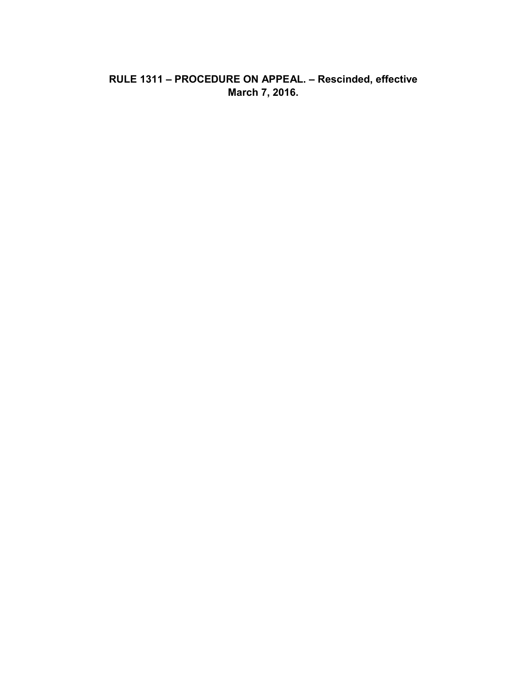# **RULE 1311 – PROCEDURE ON APPEAL. – Rescinded, effective March 7, 2016.**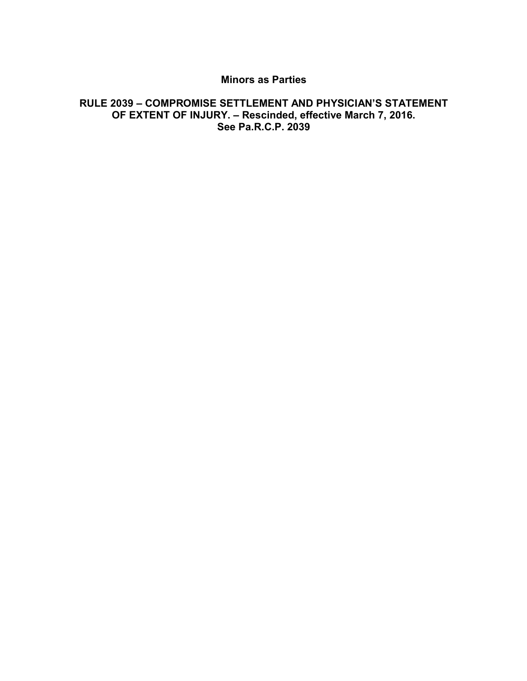#### **Minors as Parties**

#### **RULE 2039 – COMPROMISE SETTLEMENT AND PHYSICIAN'S STATEMENT OF EXTENT OF INJURY. – Rescinded, effective March 7, 2016. See Pa.R.C.P. 2039**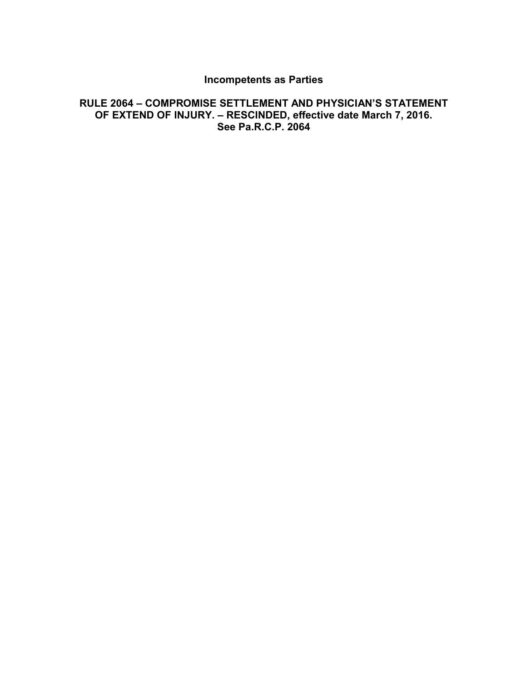# **Incompetents as Parties**

#### **RULE 2064 – COMPROMISE SETTLEMENT AND PHYSICIAN'S STATEMENT OF EXTEND OF INJURY. – RESCINDED, effective date March 7, 2016. See Pa.R.C.P. 2064**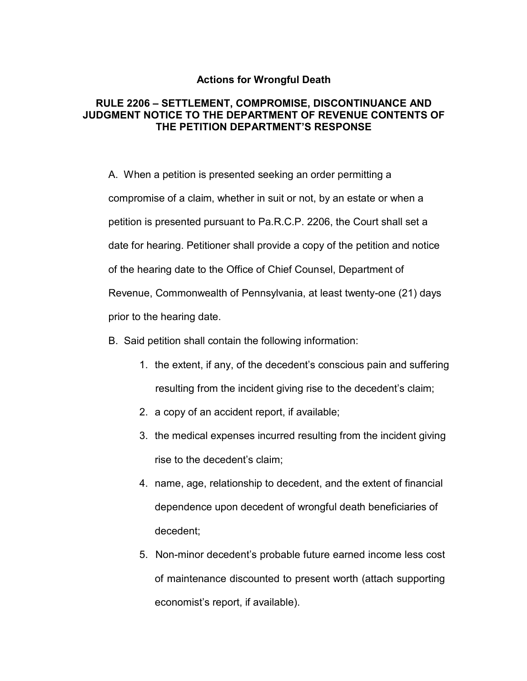#### **Actions for Wrongful Death**

#### **RULE 2206 – SETTLEMENT, COMPROMISE, DISCONTINUANCE AND JUDGMENT NOTICE TO THE DEPARTMENT OF REVENUE CONTENTS OF THE PETITION DEPARTMENT'S RESPONSE**

A. When a petition is presented seeking an order permitting a compromise of a claim, whether in suit or not, by an estate or when a petition is presented pursuant to Pa.R.C.P. 2206, the Court shall set a date for hearing. Petitioner shall provide a copy of the petition and notice of the hearing date to the Office of Chief Counsel, Department of Revenue, Commonwealth of Pennsylvania, at least twenty-one (21) days prior to the hearing date.

- B. Said petition shall contain the following information:
	- 1. the extent, if any, of the decedent's conscious pain and suffering resulting from the incident giving rise to the decedent's claim;
	- 2. a copy of an accident report, if available;
	- 3. the medical expenses incurred resulting from the incident giving rise to the decedent's claim;
	- 4. name, age, relationship to decedent, and the extent of financial dependence upon decedent of wrongful death beneficiaries of decedent;
	- 5. Non-minor decedent's probable future earned income less cost of maintenance discounted to present worth (attach supporting economist's report, if available).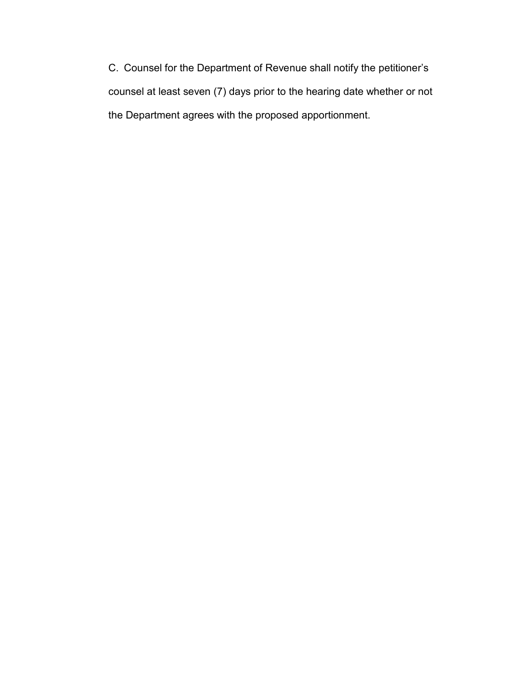C. Counsel for the Department of Revenue shall notify the petitioner's counsel at least seven (7) days prior to the hearing date whether or not the Department agrees with the proposed apportionment.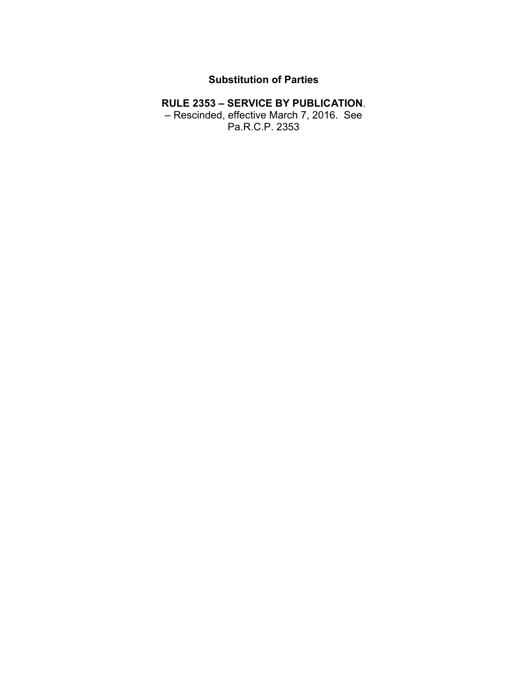# **Substitution of Parties**

### **RULE 2353 – SERVICE BY PUBLICATION**.

– Rescinded, effective March 7, 2016. See Pa.R.C.P. 2353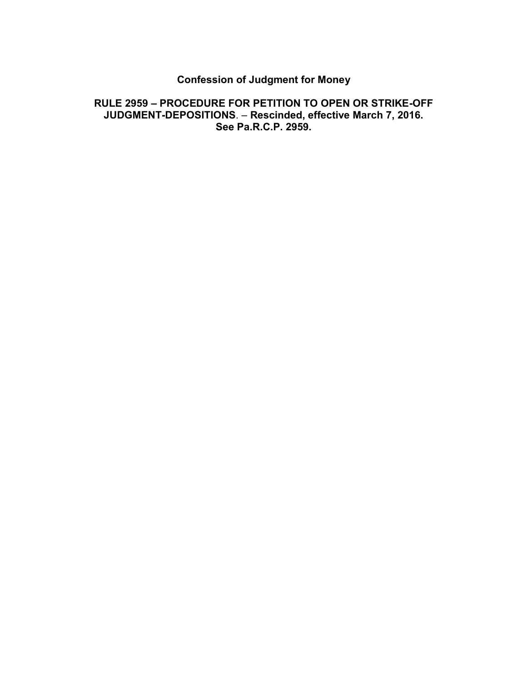# **Confession of Judgment for Money**

#### **RULE 2959 – PROCEDURE FOR PETITION TO OPEN OR STRIKE-OFF JUDGMENT-DEPOSITIONS**. – **Rescinded, effective March 7, 2016. See Pa.R.C.P. 2959.**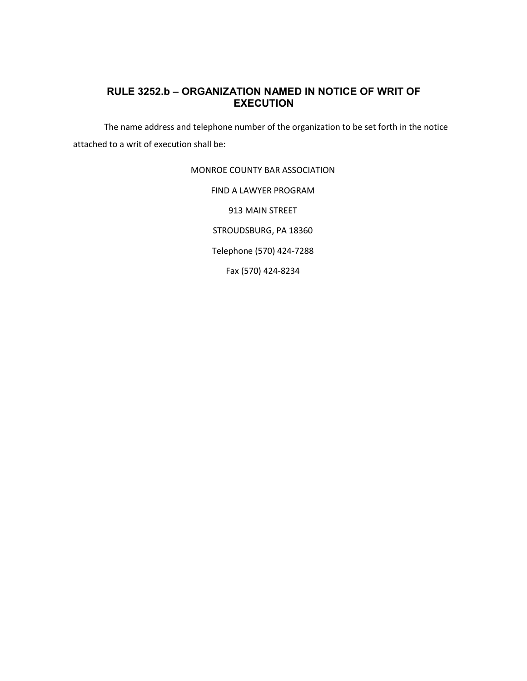# **RULE 3252.b – ORGANIZATION NAMED IN NOTICE OF WRIT OF EXECUTION**

The name address and telephone number of the organization to be set forth in the notice attached to a writ of execution shall be:

# MONROE COUNTY BAR ASSOCIATION FIND A LAWYER PROGRAM 913 MAIN STREET STROUDSBURG, PA 18360 Telephone (570) 424-7288 Fax (570) 424-8234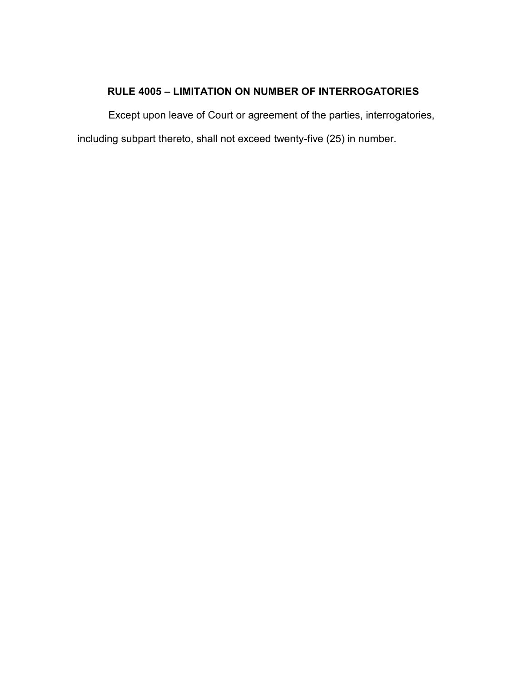# **RULE 4005 – LIMITATION ON NUMBER OF INTERROGATORIES**

Except upon leave of Court or agreement of the parties, interrogatories,

including subpart thereto, shall not exceed twenty-five (25) in number.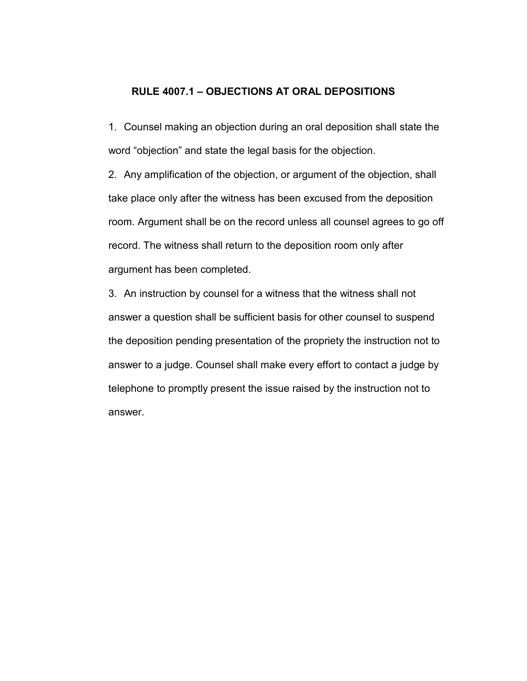#### **RULE 4007.1 – OBJECTIONS AT ORAL DEPOSITIONS**

1. Counsel making an objection during an oral deposition shall state the word "objection" and state the legal basis for the objection.

2. Any amplification of the objection, or argument of the objection, shall take place only after the witness has been excused from the deposition room. Argument shall be on the record unless all counsel agrees to go off record. The witness shall return to the deposition room only after argument has been completed.

3. An instruction by counsel for a witness that the witness shall not answer a question shall be sufficient basis for other counsel to suspend the deposition pending presentation of the propriety the instruction not to answer to a judge. Counsel shall make every effort to contact a judge by telephone to promptly present the issue raised by the instruction not to answer.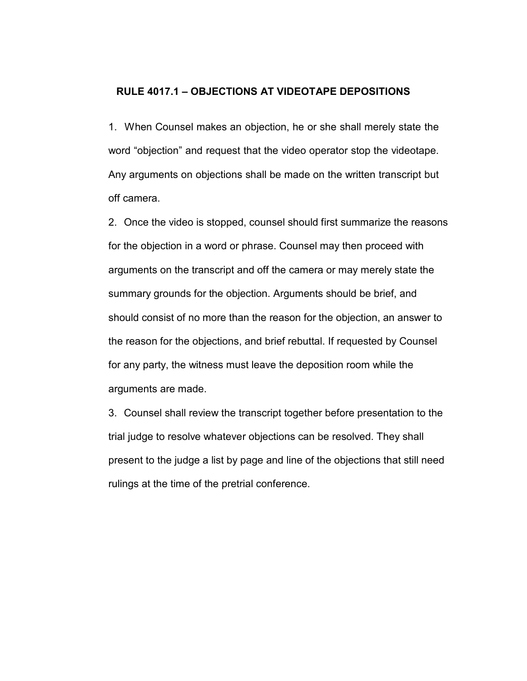#### **RULE 4017.1 – OBJECTIONS AT VIDEOTAPE DEPOSITIONS**

1. When Counsel makes an objection, he or she shall merely state the word "objection" and request that the video operator stop the videotape. Any arguments on objections shall be made on the written transcript but off camera.

2. Once the video is stopped, counsel should first summarize the reasons for the objection in a word or phrase. Counsel may then proceed with arguments on the transcript and off the camera or may merely state the summary grounds for the objection. Arguments should be brief, and should consist of no more than the reason for the objection, an answer to the reason for the objections, and brief rebuttal. If requested by Counsel for any party, the witness must leave the deposition room while the arguments are made.

3. Counsel shall review the transcript together before presentation to the trial judge to resolve whatever objections can be resolved. They shall present to the judge a list by page and line of the objections that still need rulings at the time of the pretrial conference.